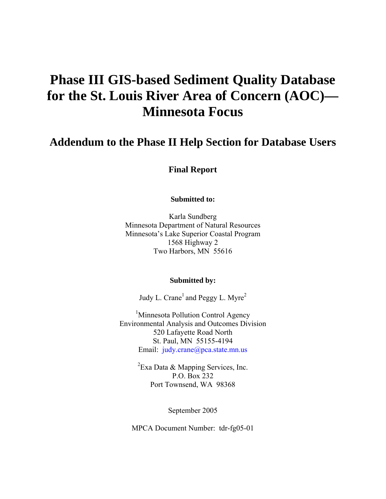# **Phase III GIS-based Sediment Quality Database for the St. Louis River Area of Concern (AOC)— Minnesota Focus**

## **Addendum to the Phase II Help Section for Database Users**

**Final Report** 

**Submitted to:** 

Karla Sundberg Minnesota Department of Natural Resources Minnesota's Lake Superior Coastal Program 1568 Highway 2 Two Harbors, MN 55616

#### **Submitted by:**

Judy L. Crane<sup>1</sup> and Peggy L. Myre<sup>2</sup>

<sup>1</sup>Minnesota Pollution Control Agency Environmental Analysis and Outcomes Division 520 Lafayette Road North St. Paul, MN 55155-4194 Email: judy.[crane@pca.state.mn.us](mailto:crane@pca.state.mn.us)

> ${}^{2}$ Exa Data & Mapping Services, Inc. P.O. Box 232 Port Townsend, WA 98368

> > September 2005

MPCA Document Number: tdr-fg05-01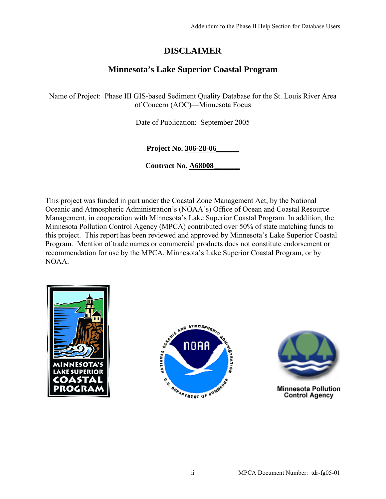## **DISCLAIMER**

### **Minnesota's Lake Superior Coastal Program**

Name of Project: Phase III GIS-based Sediment Quality Database for the St. Louis River Area of Concern (AOC)—Minnesota Focus

Date of Publication: September 2005

**Project No. 306-28-06\_\_\_\_\_\_**

**Contract No. A68008\_\_\_\_\_\_\_**

This project was funded in part under the Coastal Zone Management Act, by the National Oceanic and Atmospheric Administration's (NOAA's) Office of Ocean and Coastal Resource Management, in cooperation with Minnesota's Lake Superior Coastal Program. In addition, the Minnesota Pollution Control Agency (MPCA) contributed over 50% of state matching funds to this project. This report has been reviewed and approved by Minnesota's Lake Superior Coastal Program. Mention of trade names or commercial products does not constitute endorsement or recommendation for use by the MPCA, Minnesota's Lake Superior Coastal Program, or by NOAA.







**Minnesota Pollution Control Agency**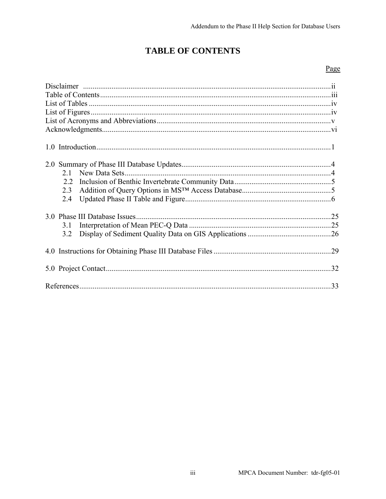## **TABLE OF CONTENTS**

### Page

| New Data Sets.<br>2.1<br>2.2<br>2.3<br>2.4 |  |
|--------------------------------------------|--|
| 31<br>3.2                                  |  |
|                                            |  |
|                                            |  |
|                                            |  |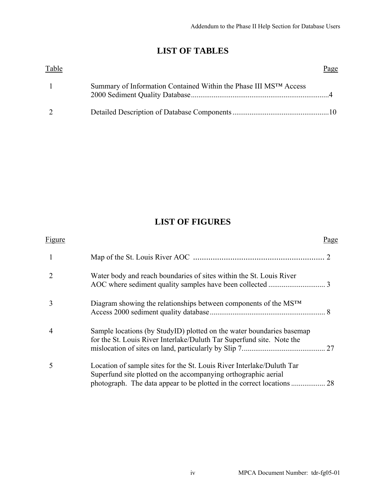## **LIST OF TABLES**

| Table |                                                                   | Page |
|-------|-------------------------------------------------------------------|------|
|       | Summary of Information Contained Within the Phase III MSTM Access |      |
|       |                                                                   |      |

## **LIST OF FIGURES**

| Figure |                                                                                                                                                | Page |
|--------|------------------------------------------------------------------------------------------------------------------------------------------------|------|
| 1      |                                                                                                                                                |      |
|        | Water body and reach boundaries of sites within the St. Louis River                                                                            |      |
|        | Diagram showing the relationships between components of the $MSTM$                                                                             |      |
| 4      | Sample locations (by StudyID) plotted on the water boundaries basemap<br>for the St. Louis River Interlake/Duluth Tar Superfund site. Note the |      |
|        | Location of sample sites for the St. Louis River Interlake/Duluth Tar<br>Superfund site plotted on the accompanying orthographic aerial        |      |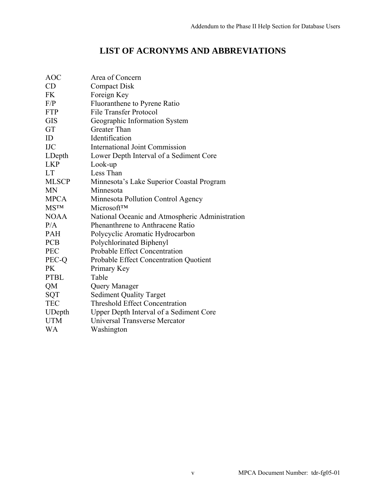## **LIST OF ACRONYMS AND ABBREVIATIONS**

| <b>AOC</b>    | Area of Concern                                 |
|---------------|-------------------------------------------------|
| CD            | <b>Compact Disk</b>                             |
| <b>FK</b>     | Foreign Key                                     |
| F/P           | Fluoranthene to Pyrene Ratio                    |
| <b>FTP</b>    | <b>File Transfer Protocol</b>                   |
| <b>GIS</b>    | Geographic Information System                   |
| GT            | Greater Than                                    |
| ID            | Identification                                  |
| <b>IJC</b>    | <b>International Joint Commission</b>           |
| LDepth        | Lower Depth Interval of a Sediment Core         |
| <b>LKP</b>    | Look-up                                         |
| <b>LT</b>     | Less Than                                       |
| <b>MLSCP</b>  | Minnesota's Lake Superior Coastal Program       |
| <b>MN</b>     | Minnesota                                       |
| <b>MPCA</b>   | Minnesota Pollution Control Agency              |
| <b>MSTM</b>   | Microsoft™                                      |
| <b>NOAA</b>   | National Oceanic and Atmospheric Administration |
| P/A           | Phenanthrene to Anthracene Ratio                |
| <b>PAH</b>    | Polycyclic Aromatic Hydrocarbon                 |
| <b>PCB</b>    | Polychlorinated Biphenyl                        |
| <b>PEC</b>    | Probable Effect Concentration                   |
| PEC-Q         | Probable Effect Concentration Quotient          |
| <b>PK</b>     | Primary Key                                     |
| <b>PTBL</b>   | Table                                           |
| QM            | Query Manager                                   |
| <b>SQT</b>    | <b>Sediment Quality Target</b>                  |
| <b>TEC</b>    | <b>Threshold Effect Concentration</b>           |
| <b>UDepth</b> | Upper Depth Interval of a Sediment Core         |
| <b>UTM</b>    | Universal Transverse Mercator                   |
| <b>WA</b>     | Washington                                      |
|               |                                                 |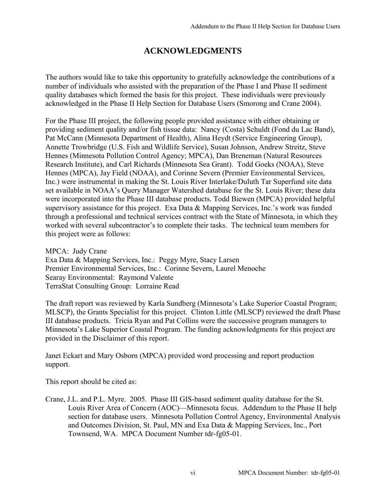## **ACKNOWLEDGMENTS**

The authors would like to take this opportunity to gratefully acknowledge the contributions of a number of individuals who assisted with the preparation of the Phase I and Phase II sediment quality databases which formed the basis for this project. These individuals were previously acknowledged in the Phase II Help Section for Database Users (Smorong and Crane 2004).

For the Phase III project, the following people provided assistance with either obtaining or providing sediment quality and/or fish tissue data: Nancy (Costa) Schuldt (Fond du Lac Band), Pat McCann (Minnesota Department of Health), Alina Heydt (Service Engineering Group), Annette Trowbridge (U.S. Fish and Wildlife Service), Susan Johnson, Andrew Streitz, Steve Hennes (Minnesota Pollution Control Agency; MPCA), Dan Breneman (Natural Resources Research Institute), and Carl Richards (Minnesota Sea Grant). Todd Goeks (NOAA), Steve Hennes (MPCA), Jay Field (NOAA), and Corinne Severn (Premier Environmental Services, Inc.) were instrumental in making the St. Louis River Interlake/Duluth Tar Superfund site data set available in NOAA's Query Manager Watershed database for the St. Louis River; these data were incorporated into the Phase III database products. Todd Biewen (MPCA) provided helpful supervisory assistance for this project. Exa Data & Mapping Services, Inc.'s work was funded through a professional and technical services contract with the State of Minnesota, in which they worked with several subcontractor's to complete their tasks. The technical team members for this project were as follows:

MPCA: Judy Crane Exa Data & Mapping Services, Inc.: Peggy Myre, Stacy Larsen Premier Environmental Services, Inc.: Corinne Severn, Laurel Menoche Searay Environmental: Raymond Valente TerraStat Consulting Group: Lorraine Read

The draft report was reviewed by Karla Sundberg (Minnesota's Lake Superior Coastal Program; MLSCP), the Grants Specialist for this project. Clinton Little (MLSCP) reviewed the draft Phase III database products. Tricia Ryan and Pat Collins were the successive program managers to Minnesota's Lake Superior Coastal Program. The funding acknowledgments for this project are provided in the Disclaimer of this report.

Janet Eckart and Mary Osborn (MPCA) provided word processing and report production support.

This report should be cited as:

Crane, J.L. and P.L. Myre. 2005. Phase III GIS-based sediment quality database for the St. Louis River Area of Concern (AOC)—Minnesota focus. Addendum to the Phase II help section for database users. Minnesota Pollution Control Agency, Environmental Analysis and Outcomes Division, St. Paul, MN and Exa Data & Mapping Services, Inc., Port Townsend, WA. MPCA Document Number tdr-fg05-01.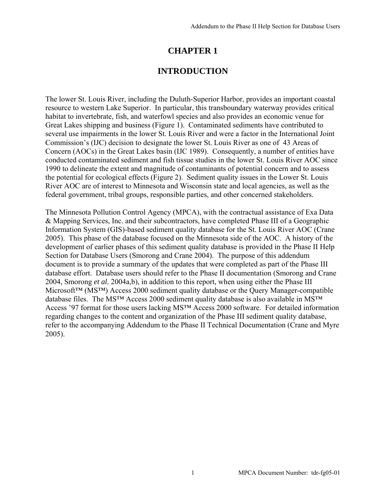### **CHAPTER 1**

### **INTRODUCTION**

The lower St. Louis River, including the Duluth-Superior Harbor, provides an important coastal resource to western Lake Superior. In particular, this transboundary waterway provides critical habitat to invertebrate, fish, and waterfowl species and also provides an economic venue for Great Lakes shipping and business (Figure 1). Contaminated sediments have contributed to several use impairments in the lower St. Louis River and were a factor in the International Joint Commission's (IJC) decision to designate the lower St. Louis River as one of 43 Areas of Concern (AOCs) in the Great Lakes basin (IJC 1989). Consequently, a number of entities have conducted contaminated sediment and fish tissue studies in the lower St. Louis River AOC since 1990 to delineate the extent and magnitude of contaminants of potential concern and to assess the potential for ecological effects (Figure 2). Sediment quality issues in the Lower St. Louis River AOC are of interest to Minnesota and Wisconsin state and local agencies, as well as the federal government, tribal groups, responsible parties, and other concerned stakeholders.

The Minnesota Pollution Control Agency (MPCA), with the contractual assistance of Exa Data & Mapping Services, Inc. and their subcontractors, have completed Phase III of a Geographic Information System (GIS)-based sediment quality database for the St. Louis River AOC (Crane 2005). This phase of the database focused on the Minnesota side of the AOC. A history of the development of earlier phases of this sediment quality database is provided in the Phase II Help Section for Database Users (Smorong and Crane 2004). The purpose of this addendum document is to provide a summary of the updates that were completed as part of the Phase III database effort. Database users should refer to the Phase II documentation (Smorong and Crane 2004, Smorong *et al.* 2004a,b), in addition to this report, when using either the Phase III Microsoft™ (MS™) Access 2000 sediment quality database or the Query Manager-compatible database files. The MS<sup>™</sup> Access 2000 sediment quality database is also available in MS<sup>™</sup> Access '97 format for those users lacking MS™ Access 2000 software. For detailed information regarding changes to the content and organization of the Phase III sediment quality database, refer to the accompanying Addendum to the Phase II Technical Documentation (Crane and Myre 2005).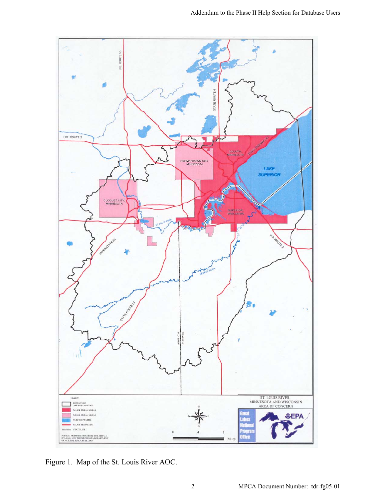

Figure 1. Map of the St. Louis River AOC.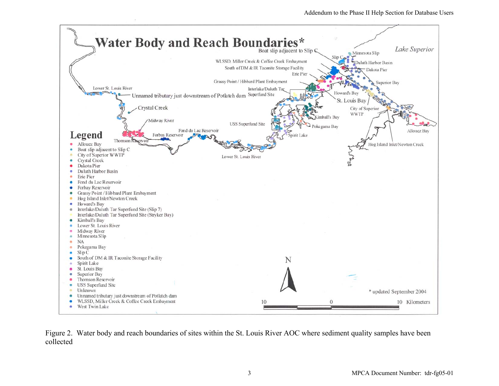

Figure 2. Water body and reach boundaries of sites within the St. Louis River AOC where sediment quality samples have been collected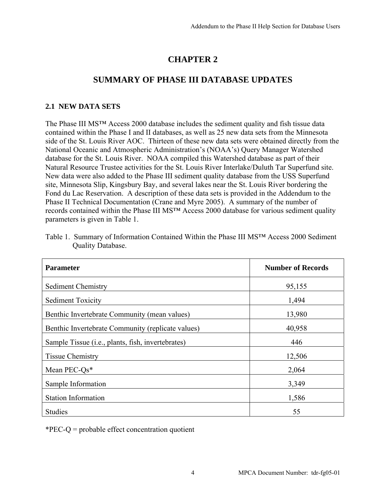## **CHAPTER 2**

### **SUMMARY OF PHASE III DATABASE UPDATES**

### **2.1 NEW DATA SETS**

The Phase III MS™ Access 2000 database includes the sediment quality and fish tissue data contained within the Phase I and II databases, as well as 25 new data sets from the Minnesota side of the St. Louis River AOC. Thirteen of these new data sets were obtained directly from the National Oceanic and Atmospheric Administration's (NOAA's) Query Manager Watershed database for the St. Louis River. NOAA compiled this Watershed database as part of their Natural Resource Trustee activities for the St. Louis River Interlake/Duluth Tar Superfund site. New data were also added to the Phase III sediment quality database from the USS Superfund site, Minnesota Slip, Kingsbury Bay, and several lakes near the St. Louis River bordering the Fond du Lac Reservation. A description of these data sets is provided in the Addendum to the Phase II Technical Documentation (Crane and Myre 2005). A summary of the number of records contained within the Phase III MS™ Access 2000 database for various sediment quality parameters is given in Table 1.

| <b>Parameter</b>                                                                   | <b>Number of Records</b> |
|------------------------------------------------------------------------------------|--------------------------|
| <b>Sediment Chemistry</b>                                                          | 95,155                   |
| <b>Sediment Toxicity</b>                                                           | 1,494                    |
| Benthic Invertebrate Community (mean values)                                       | 13,980                   |
| Benthic Invertebrate Community (replicate values)                                  | 40,958                   |
| Sample Tissue ( <i>i.e.</i> , <i>plants</i> , <i>fish</i> , <i>invertebrates</i> ) | 446                      |
| <b>Tissue Chemistry</b>                                                            | 12,506                   |
| Mean PEC- $Qs^*$                                                                   | 2,064                    |
| Sample Information                                                                 | 3,349                    |
| <b>Station Information</b>                                                         | 1,586                    |
| <b>Studies</b>                                                                     | 55                       |

Table 1. Summary of Information Contained Within the Phase III MS™ Access 2000 Sediment Quality Database.

\*PEC-Q = probable effect concentration quotient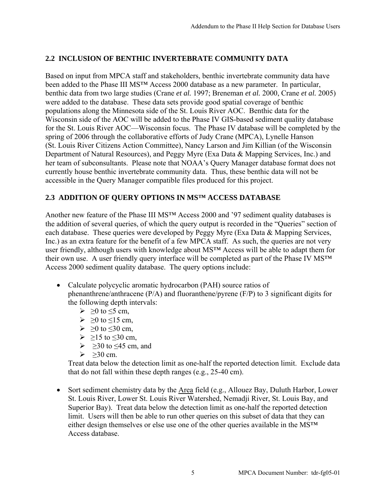### **2.2 INCLUSION OF BENTHIC INVERTEBRATE COMMUNITY DATA**

Based on input from MPCA staff and stakeholders, benthic invertebrate community data have been added to the Phase III MS<sup>™</sup> Access 2000 database as a new parameter. In particular, benthic data from two large studies (Crane *et al.* 1997; Breneman *et al.* 2000, Crane *et al.* 2005) were added to the database. These data sets provide good spatial coverage of benthic populations along the Minnesota side of the St. Louis River AOC. Benthic data for the Wisconsin side of the AOC will be added to the Phase IV GIS-based sediment quality database for the St. Louis River AOC—Wisconsin focus. The Phase IV database will be completed by the spring of 2006 through the collaborative efforts of Judy Crane (MPCA), Lynelle Hanson (St. Louis River Citizens Action Committee), Nancy Larson and Jim Killian (of the Wisconsin Department of Natural Resources), and Peggy Myre (Exa Data & Mapping Services, Inc.) and her team of subconsultants. Please note that NOAA's Query Manager database format does not currently house benthic invertebrate community data. Thus, these benthic data will not be accessible in the Query Manager compatible files produced for this project.

### **2.3 ADDITION OF QUERY OPTIONS IN MS™ ACCESS DATABASE**

Another new feature of the Phase III MS™ Access 2000 and '97 sediment quality databases is the addition of several queries, of which the query output is recorded in the "Queries" section of each database. These queries were developed by Peggy Myre (Exa Data & Mapping Services, Inc.) as an extra feature for the benefit of a few MPCA staff. As such, the queries are not very user friendly, although users with knowledge about MS™ Access will be able to adapt them for their own use. A user friendly query interface will be completed as part of the Phase IV MS™ Access 2000 sediment quality database. The query options include:

- Calculate polycyclic aromatic hydrocarbon (PAH) source ratios of phenanthrene/anthracene (P/A) and fluoranthene/pyrene (F/P) to 3 significant digits for the following depth intervals:
	- $\geq 0$  to  $\leq$ 5 cm,
	- $\geq 0$  to  $\leq 15$  cm,
	- $\triangleright \geq 0$  to  $\leq 30$  cm,
	- $\geq 215$  to  $\leq 30$  cm,
	- $\geq$   $\geq$ 30 to  $\leq$ 45 cm, and
	- $\geq$  >30 cm.

Treat data below the detection limit as one-half the reported detection limit. Exclude data that do not fall within these depth ranges (e.g., 25-40 cm).

• Sort sediment chemistry data by the Area field (e.g., Allouez Bay, Duluth Harbor, Lower St. Louis River, Lower St. Louis River Watershed, Nemadji River, St. Louis Bay, and Superior Bay). Treat data below the detection limit as one-half the reported detection limit. Users will then be able to run other queries on this subset of data that they can either design themselves or else use one of the other queries available in the MS™ Access database.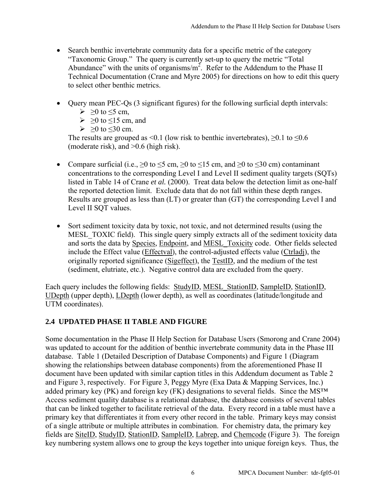- Search benthic invertebrate community data for a specific metric of the category "Taxonomic Group." The query is currently set-up to query the metric "Total Abundance" with the units of organisms/ $m^2$ . Refer to the Addendum to the Phase II Technical Documentation (Crane and Myre 2005) for directions on how to edit this query to select other benthic metrics.
- Query mean PEC-Qs (3 significant figures) for the following surficial depth intervals:
	- $\triangleright$  >0 to  $\leq$ 5 cm.
	- $\geq 20$  to  $\leq 15$  cm, and
	- $> 0$  to <30 cm.

The results are grouped as <0.1 (low risk to benthic invertebrates),  $\geq 0.1$  to  $\leq 0.6$ (moderate risk), and >0.6 (high risk).

- Compare surficial (i.e.,  $\geq 0$  to  $\leq 5$  cm,  $\geq 0$  to  $\leq 15$  cm, and  $\geq 0$  to  $\leq 30$  cm) contaminant concentrations to the corresponding Level I and Level II sediment quality targets (SQTs) listed in Table 14 of Crane *et al.* (2000). Treat data below the detection limit as one-half the reported detection limit. Exclude data that do not fall within these depth ranges. Results are grouped as less than (LT) or greater than (GT) the corresponding Level I and Level II SQT values.
- Sort sediment toxicity data by toxic, not toxic, and not determined results (using the MESL TOXIC field). This single query simply extracts all of the sediment toxicity data and sorts the data by Species, Endpoint, and MESL Toxicity code. Other fields selected include the Effect value (Effectval), the control-adjusted effects value (Ctrladj), the originally reported significance (Sigeffect), the TestID, and the medium of the test (sediment, elutriate, etc.). Negative control data are excluded from the query.

Each query includes the following fields: StudyID, MESL StationID, SampleID, StationID, UDepth (upper depth), LDepth (lower depth), as well as coordinates (latitude/longitude and UTM coordinates).

### **2.4 UPDATED PHASE II TABLE AND FIGURE**

Some documentation in the Phase II Help Section for Database Users (Smorong and Crane 2004) was updated to account for the addition of benthic invertebrate community data in the Phase III database. Table 1 (Detailed Description of Database Components) and Figure 1 (Diagram showing the relationships between database components) from the aforementioned Phase II document have been updated with similar caption titles in this Addendum document as Table 2 and Figure 3, respectively. For Figure 3, Peggy Myre (Exa Data & Mapping Services, Inc.) added primary key (PK) and foreign key (FK) designations to several fields. Since the MS<sup>™</sup> Access sediment quality database is a relational database, the database consists of several tables that can be linked together to facilitate retrieval of the data. Every record in a table must have a primary key that differentiates it from every other record in the table. Primary keys may consist of a single attribute or multiple attributes in combination. For chemistry data, the primary key fields are SiteID, StudyID, StationID, SampleID, Labrep, and Chemcode (Figure 3). The foreign key numbering system allows one to group the keys together into unique foreign keys. Thus, the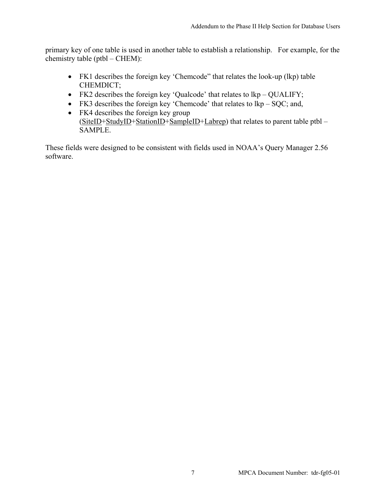primary key of one table is used in another table to establish a relationship. For example, for the chemistry table (ptbl – CHEM):

- FK1 describes the foreign key 'Chemcode" that relates the look-up (lkp) table CHEMDICT;
- FK2 describes the foreign key 'Qualcode' that relates to  $lkp QUALIFY$ ;
- FK3 describes the foreign key 'Chemcode' that relates to  $lkp SQC$ ; and,
- FK4 describes the foreign key group (SiteID+StudyID+StationID+SampleID+Labrep) that relates to parent table ptbl – SAMPLE.

These fields were designed to be consistent with fields used in NOAA's Query Manager 2.56 software.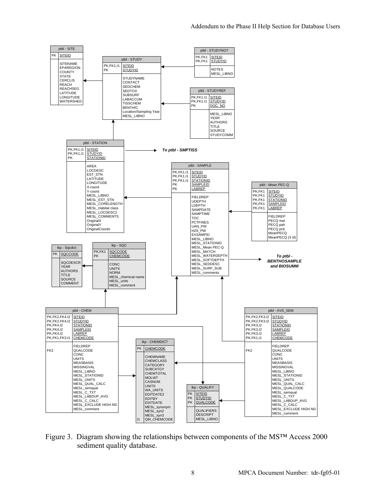

Figure 3. Diagram showing the relationships between components of the MS™ Access 2000 sediment quality database.

lkp - CHEMDICT PK CHEMCODE CHEMNAME CHEMCLASS CATEGORY SUBCATGY **CHEMTOTAL** MOLWT CASNUM UNITS WA\_UNITS EDITDATE2 EDITBY EDITDATE MESL\_synonym MESL\_syn2 MESL\_syn3<br>I1 QM\_CHEMCODE

ptbl - CHEM

MESL\_units MESL\_comment

SAMPLEID<br>SAMPLEID<br>LABREP

FIELDREP

PK,FK2,FK4,I2 SITEID<br>PK,FK2,FK4,I2 STUDYID . . . . . . . . . . . . . .<br>PK,FK2,FK4,I2<br>PK FK4 I2 PK,FK4,I2 STATIONID

SOURCE COMMENT

PK,FK4,I2 LABREP<br>PK,FK1,FK3,I1 CHEMCODE PK,FK1,FK3,I1 CHEMCODE

FK2 QUALCODE CONC<sub></sub> **UNITS** MEASBASIS **MISSINGVAL** MESL\_LIBNO MESL\_STATIONID MESL\_0171110 MESL\_QUAL\_CALC MESL\_semqual MESL\_C\_TXT MESL\_LABDUP\_AVG MESL\_C\_CALC MESL\_EXCLUDE HIGH ND MESL\_comment

lkp - QUALIFY PK SITEID PK STUDYID QUALCODE **QUALIFIERS** DESCRIPT MESL\_LIBNO ptbl - AVS\_SEM

SAMPLEID

CHEMCODE FIELDREP FK2 QUALCODE **CONC** UNITS MEASBASIS **MISSINGVAL** MESL\_LIBNO MESL\_STATIONID MESL\_DIVING MESL\_QUAL\_CALC MESL\_QUALCODE MESL\_semqual MESL\_C\_TXT MESL\_LABDUP\_AVG MESL\_C\_CALC MESL\_EXCLUDE HIGH ND MESL\_comment

PK,FK2,FK3,I2 SITEID<br>PK,FK2,FK3,I2 STUDYID PK,FK2,FK3,I2<br>PK,FK2,FK3,I2 PK,FK3,I2 STATIONID

PK, FK3, 12<br>PK, FK1, 11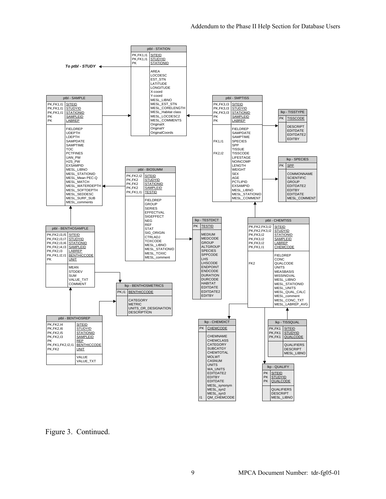

Figure 3. Continued.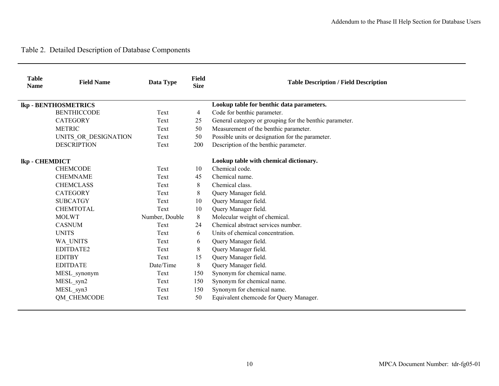## Table 2. Detailed Description of Database Components

| <b>Table</b><br><b>Name</b> | <b>Field Name</b>           | Data Type      | <b>Field</b><br><b>Size</b> | <b>Table Description / Field Description</b>            |
|-----------------------------|-----------------------------|----------------|-----------------------------|---------------------------------------------------------|
|                             | <b>lkp - BENTHOSMETRICS</b> |                |                             | Lookup table for benthic data parameters.               |
|                             | <b>BENTHICCODE</b>          | Text           | 4                           | Code for benthic parameter.                             |
|                             | <b>CATEGORY</b>             | Text           | 25                          | General category or grouping for the benthic parameter. |
|                             | <b>METRIC</b>               | Text           | 50                          | Measurement of the benthic parameter.                   |
|                             | UNITS OR DESIGNATION        | Text           | 50                          | Possible units or designation for the parameter.        |
|                             | <b>DESCRIPTION</b>          | Text           | 200                         | Description of the benthic parameter.                   |
| lkp - CHEMDICT              |                             |                |                             | Lookup table with chemical dictionary.                  |
|                             | <b>CHEMCODE</b>             | Text           | 10                          | Chemical code.                                          |
|                             | <b>CHEMNAME</b>             | Text           | 45                          | Chemical name.                                          |
|                             | <b>CHEMCLASS</b>            | Text           | 8                           | Chemical class.                                         |
|                             | <b>CATEGORY</b>             | Text           | 8                           | Query Manager field.                                    |
|                             | <b>SUBCATGY</b>             | Text           | 10                          | Query Manager field.                                    |
|                             | <b>CHEMTOTAL</b>            | Text           | 10                          | Query Manager field.                                    |
|                             | <b>MOLWT</b>                | Number, Double | $\,8\,$                     | Molecular weight of chemical.                           |
|                             | <b>CASNUM</b>               | Text           | 24                          | Chemical abstract services number.                      |
|                             | <b>UNITS</b>                | Text           | 6                           | Units of chemical concentration.                        |
|                             | WA UNITS                    | Text           | 6                           | Query Manager field.                                    |
|                             | EDITDATE2                   | Text           | 8                           | Query Manager field.                                    |
|                             | <b>EDITBY</b>               | Text           | 15                          | Query Manager field.                                    |
|                             | <b>EDITDATE</b>             | Date/Time      | 8                           | Query Manager field.                                    |
|                             | MESL_synonym                | Text           | 150                         | Synonym for chemical name.                              |
|                             | MESL syn2                   | Text           | 150                         | Synonym for chemical name.                              |
|                             | MESL syn3                   | Text           | 150                         | Synonym for chemical name.                              |
|                             | QM CHEMCODE                 | Text           | 50                          | Equivalent chemcode for Query Manager.                  |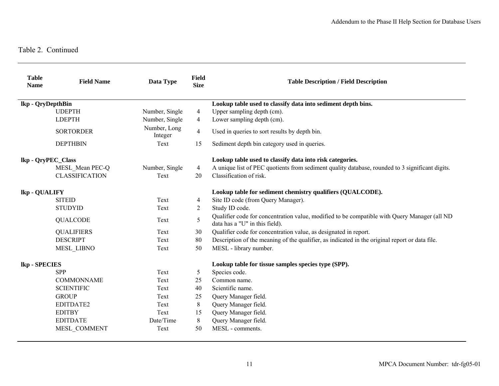| <b>Table</b><br><b>Name</b> | <b>Field Name</b>     | Data Type               | <b>Field</b><br><b>Size</b> | <b>Table Description / Field Description</b>                                                                                   |
|-----------------------------|-----------------------|-------------------------|-----------------------------|--------------------------------------------------------------------------------------------------------------------------------|
| lkp - QryDepthBin           |                       |                         |                             | Lookup table used to classify data into sediment depth bins.                                                                   |
|                             | <b>UDEPTH</b>         | Number, Single          | 4                           | Upper sampling depth (cm).                                                                                                     |
|                             | <b>LDEPTH</b>         | Number, Single          | 4                           | Lower sampling depth (cm).                                                                                                     |
|                             | <b>SORTORDER</b>      | Number, Long<br>Integer | $\overline{4}$              | Used in queries to sort results by depth bin.                                                                                  |
|                             | <b>DEPTHBIN</b>       | Text                    | 15                          | Sediment depth bin category used in queries.                                                                                   |
|                             | lkp - QryPEC_Class    |                         |                             | Lookup table used to classify data into risk categories.                                                                       |
|                             | MESL Mean PEC-Q       | Number, Single          | 4                           | A unique list of PEC quotients from sediment quality database, rounded to 3 significant digits.                                |
|                             | <b>CLASSIFICATION</b> | Text                    | 20                          | Classification of risk.                                                                                                        |
| lkp - QUALIFY               |                       |                         |                             | Lookup table for sediment chemistry qualifiers (QUALCODE).                                                                     |
|                             | <b>SITEID</b>         | Text                    | 4                           | Site ID code (from Query Manager).                                                                                             |
|                             | <b>STUDYID</b>        | Text                    | 2                           | Study ID code.                                                                                                                 |
|                             | <b>QUALCODE</b>       | Text                    | 5                           | Qualifier code for concentration value, modified to be compatible with Query Manager (all ND<br>data has a "U" in this field). |
|                             | <b>QUALIFIERS</b>     | Text                    | 30                          | Qualifier code for concentration value, as designated in report.                                                               |
|                             | <b>DESCRIPT</b>       | Text                    | 80                          | Description of the meaning of the qualifier, as indicated in the original report or data file.                                 |
|                             | <b>MESL LIBNO</b>     | Text                    | 50                          | MESL - library number.                                                                                                         |
| lkp - SPECIES               |                       |                         |                             | Lookup table for tissue samples species type (SPP).                                                                            |
|                             | <b>SPP</b>            | Text                    | 5                           | Species code.                                                                                                                  |
|                             | <b>COMMONNAME</b>     | Text                    | 25                          | Common name.                                                                                                                   |
|                             | <b>SCIENTIFIC</b>     | Text                    | 40                          | Scientific name.                                                                                                               |
|                             | <b>GROUP</b>          | Text                    | 25                          | Query Manager field.                                                                                                           |
|                             | EDITDATE2             | Text                    | 8                           | Query Manager field.                                                                                                           |
|                             | <b>EDITBY</b>         | Text                    | 15                          | Query Manager field.                                                                                                           |
|                             | <b>EDITDATE</b>       | Date/Time               | 8                           | Query Manager field.                                                                                                           |
|                             | MESL COMMENT          | Text                    | 50                          | MESL - comments.                                                                                                               |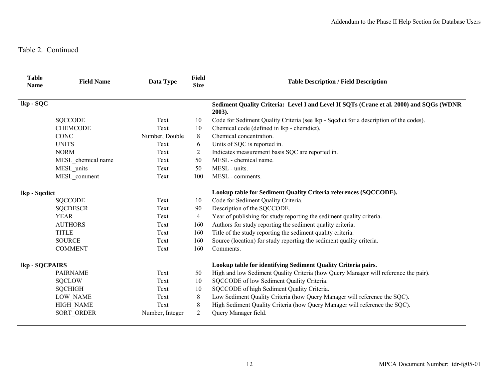| <b>Table</b><br><b>Name</b> | <b>Field Name</b>  | Data Type       | Field<br><b>Size</b> | <b>Table Description / Field Description</b>                                                      |
|-----------------------------|--------------------|-----------------|----------------------|---------------------------------------------------------------------------------------------------|
| lkp - SQC                   |                    |                 |                      | Sediment Quality Criteria: Level I and Level II SQTs (Crane et al. 2000) and SQGs (WDNR<br>2003). |
|                             | <b>SQCCODE</b>     | Text            | 10                   | Code for Sediment Quality Criteria (see lkp - Sqcdict for a description of the codes).            |
|                             | <b>CHEMCODE</b>    | Text            | 10                   | Chemical code (defined in lkp - chemdict).                                                        |
|                             | <b>CONC</b>        | Number, Double  | 8                    | Chemical concentration.                                                                           |
|                             | <b>UNITS</b>       | Text            | 6                    | Units of SQC is reported in.                                                                      |
|                             | <b>NORM</b>        | Text            | 2                    | Indicates measurement basis SQC are reported in.                                                  |
|                             | MESL chemical name | Text            | 50                   | MESL - chemical name.                                                                             |
|                             | MESL units         | Text            | 50                   | MESL - units.                                                                                     |
|                             | MESL comment       | Text            | 100                  | MESL - comments.                                                                                  |
| lkp - Sqcdict               |                    |                 |                      | Lookup table for Sediment Quality Criteria references (SQCCODE).                                  |
|                             | <b>SQCCODE</b>     | Text            | 10                   | Code for Sediment Quality Criteria.                                                               |
|                             | <b>SQCDESCR</b>    | Text            | 90                   | Description of the SQCCODE.                                                                       |
|                             | <b>YEAR</b>        | Text            | 4                    | Year of publishing for study reporting the sediment quality criteria.                             |
|                             | <b>AUTHORS</b>     | Text            | 160                  | Authors for study reporting the sediment quality criteria.                                        |
|                             | <b>TITLE</b>       | Text            | 160                  | Title of the study reporting the sediment quality criteria.                                       |
|                             | <b>SOURCE</b>      | Text            | 160                  | Source (location) for study reporting the sediment quality criteria.                              |
|                             | <b>COMMENT</b>     | Text            | 160                  | Comments.                                                                                         |
| lkp - SQCPAIRS              |                    |                 |                      | Lookup table for identifying Sediment Quality Criteria pairs.                                     |
|                             | <b>PAIRNAME</b>    | Text            | 50                   | High and low Sediment Quality Criteria (how Query Manager will reference the pair).               |
|                             | <b>SQCLOW</b>      | Text            | 10                   | SQCCODE of low Sediment Quality Criteria.                                                         |
|                             | <b>SQCHIGH</b>     | Text            | 10                   | SQCCODE of high Sediment Quality Criteria.                                                        |
|                             | <b>LOW NAME</b>    | Text            | 8                    | Low Sediment Quality Criteria (how Query Manager will reference the SQC).                         |
|                             | <b>HIGH NAME</b>   | Text            | 8                    | High Sediment Quality Criteria (how Query Manager will reference the SQC).                        |
|                             | <b>SORT ORDER</b>  | Number, Integer | $\overline{2}$       | Query Manager field.                                                                              |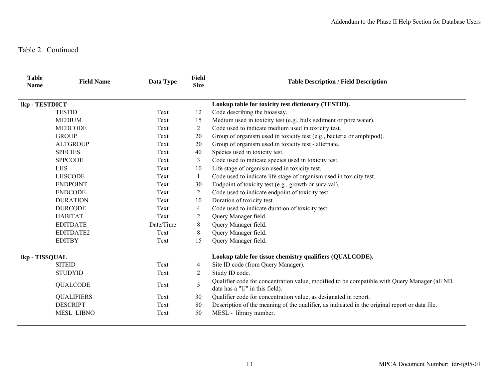| <b>Table</b><br><b>Name</b> | <b>Field Name</b> | Data Type | <b>Field</b><br><b>Size</b> | <b>Table Description / Field Description</b>                                                                                   |
|-----------------------------|-------------------|-----------|-----------------------------|--------------------------------------------------------------------------------------------------------------------------------|
| lkp - TESTDICT              |                   |           |                             | Lookup table for toxicity test dictionary (TESTID).                                                                            |
|                             | <b>TESTID</b>     | Text      | 12                          | Code describing the bioassay.                                                                                                  |
|                             | <b>MEDIUM</b>     | Text      | 15                          | Medium used in toxicity test (e.g., bulk sediment or pore water).                                                              |
|                             | <b>MEDCODE</b>    | Text      | $\overline{2}$              | Code used to indicate medium used in toxicity test.                                                                            |
|                             | <b>GROUP</b>      | Text      | 20                          | Group of organism used in toxicity test (e.g., bacteria or amphipod).                                                          |
|                             | <b>ALTGROUP</b>   | Text      | 20                          | Group of organism used in toxicity test - alternate.                                                                           |
|                             | <b>SPECIES</b>    | Text      | 40                          | Species used in toxicity test.                                                                                                 |
|                             | <b>SPPCODE</b>    | Text      | 3                           | Code used to indicate species used in toxicity test.                                                                           |
|                             | <b>LHS</b>        | Text      | 10                          | Life stage of organism used in toxicity test.                                                                                  |
|                             | <b>LHSCODE</b>    | Text      | 1                           | Code used to indicate life stage of organism used in toxicity test.                                                            |
|                             | <b>ENDPOINT</b>   | Text      | 30                          | Endpoint of toxicity test (e.g., growth or survival).                                                                          |
|                             | <b>ENDCODE</b>    | Text      | 2                           | Code used to indicate endpoint of toxicity test.                                                                               |
|                             | <b>DURATION</b>   | Text      | 10                          | Duration of toxicity test.                                                                                                     |
|                             | <b>DURCODE</b>    | Text      | 4                           | Code used to indicate duration of toxicity test.                                                                               |
|                             | <b>HABITAT</b>    | Text      | 2                           | Query Manager field.                                                                                                           |
|                             | <b>EDITDATE</b>   | Date/Time | 8                           | Query Manager field.                                                                                                           |
|                             | EDITDATE2         | Text      | 8                           | Query Manager field.                                                                                                           |
|                             | <b>EDITBY</b>     | Text      | 15                          | Query Manager field.                                                                                                           |
| lkp - TISSQUAL              |                   |           |                             | Lookup table for tissue chemistry qualifiers (QUALCODE).                                                                       |
|                             | <b>SITEID</b>     | Text      | 4                           | Site ID code (from Query Manager).                                                                                             |
|                             | <b>STUDYID</b>    | Text      | 2                           | Study ID code.                                                                                                                 |
|                             | <b>QUALCODE</b>   | Text      | 5                           | Qualifier code for concentration value, modified to be compatible with Query Manager (all ND<br>data has a "U" in this field). |
|                             | <b>QUALIFIERS</b> | Text      | 30                          | Qualifier code for concentration value, as designated in report.                                                               |
|                             | <b>DESCRIPT</b>   | Text      | 80                          | Description of the meaning of the qualifier, as indicated in the original report or data file.                                 |
|                             | MESL_LIBNO        | Text      | 50                          | MESL - library number.                                                                                                         |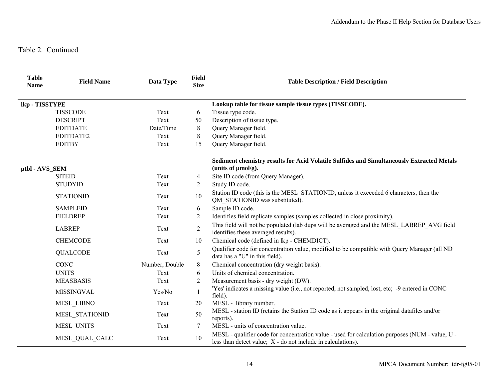| <b>Table</b><br><b>Name</b> | <b>Field Name</b> | Data Type      | <b>Field</b><br><b>Size</b> | <b>Table Description / Field Description</b>                                                                                                                    |
|-----------------------------|-------------------|----------------|-----------------------------|-----------------------------------------------------------------------------------------------------------------------------------------------------------------|
| lkp - TISSTYPE              |                   |                |                             | Lookup table for tissue sample tissue types (TISSCODE).                                                                                                         |
|                             | <b>TISSCODE</b>   | Text           | 6                           | Tissue type code.                                                                                                                                               |
|                             | <b>DESCRIPT</b>   | Text           | 50                          | Description of tissue type.                                                                                                                                     |
|                             | <b>EDITDATE</b>   | Date/Time      | 8                           | Query Manager field.                                                                                                                                            |
|                             | EDITDATE2         | Text           | 8                           | Query Manager field.                                                                                                                                            |
|                             | <b>EDITBY</b>     | Text           | 15                          | Query Manager field.                                                                                                                                            |
| ptbl - AVS_SEM              |                   |                |                             | Sediment chemistry results for Acid Volatile Sulfides and Simultaneously Extracted Metals<br>(units of $\mu$ mol/g).                                            |
|                             | <b>SITEID</b>     | Text           | 4                           | Site ID code (from Query Manager).                                                                                                                              |
|                             | <b>STUDYID</b>    | Text           | 2                           | Study ID code.                                                                                                                                                  |
|                             | <b>STATIONID</b>  | Text           | 10                          | Station ID code (this is the MESL STATIONID, unless it exceeded 6 characters, then the<br>QM STATIONID was substituted).                                        |
|                             | <b>SAMPLEID</b>   | Text           | 6                           | Sample ID code.                                                                                                                                                 |
|                             | <b>FIELDREP</b>   | Text           | 2                           | Identifies field replicate samples (samples collected in close proximity).                                                                                      |
|                             | <b>LABREP</b>     | Text           | $\overline{2}$              | This field will not be populated (lab dups will be averaged and the MESL LABREP AVG field<br>identifies these averaged results).                                |
|                             | <b>CHEMCODE</b>   | Text           | 10                          | Chemical code (defined in lkp - CHEMDICT).                                                                                                                      |
|                             | <b>QUALCODE</b>   | Text           | 5                           | Qualifier code for concentration value, modified to be compatible with Query Manager (all ND<br>data has a "U" in this field).                                  |
|                             | <b>CONC</b>       | Number, Double | 8                           | Chemical concentration (dry weight basis).                                                                                                                      |
|                             | <b>UNITS</b>      | Text           | 6                           | Units of chemical concentration.                                                                                                                                |
|                             | <b>MEASBASIS</b>  | Text           | 2                           | Measurement basis - dry weight (DW).                                                                                                                            |
|                             | <b>MISSINGVAL</b> | Yes/No         | 1                           | 'Yes' indicates a missing value (i.e., not reported, not sampled, lost, etc; -9 entered in CONC<br>field).                                                      |
|                             | <b>MESL LIBNO</b> | Text           | 20                          | MESL - library number.                                                                                                                                          |
|                             | MESL STATIONID    | Text           | 50                          | MESL - station ID (retains the Station ID code as it appears in the original data files and/or<br>reports).                                                     |
|                             | MESL UNITS        | Text           | 7                           | MESL - units of concentration value.                                                                                                                            |
|                             | MESL QUAL CALC    | Text           | 10                          | MESL - qualifier code for concentration value - used for calculation purposes (NUM - value, U -<br>less than detect value; X - do not include in calculations). |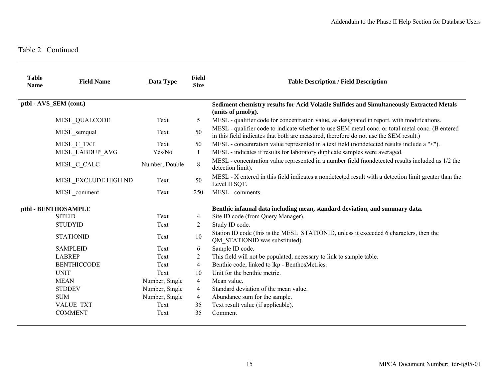| <b>Table</b><br><b>Name</b> | <b>Field Name</b>      | Data Type      | Field<br><b>Size</b>                                                        | <b>Table Description / Field Description</b>                                                                                                                                              |
|-----------------------------|------------------------|----------------|-----------------------------------------------------------------------------|-------------------------------------------------------------------------------------------------------------------------------------------------------------------------------------------|
|                             | ptbl - AVS SEM (cont.) |                |                                                                             | Sediment chemistry results for Acid Volatile Sulfides and Simultaneously Extracted Metals<br>(units of $\mu$ mol/g).                                                                      |
|                             | MESL QUALCODE          | Text           | 5                                                                           | MESL - qualifier code for concentration value, as designated in report, with modifications.                                                                                               |
|                             | MESL semqual           | Text           | 50                                                                          | MESL - qualifier code to indicate whether to use SEM metal conc. or total metal conc. (B entered<br>in this field indicates that both are measured, therefore do not use the SEM result.) |
|                             | MESL C TXT             | Text           | 50                                                                          | MESL - concentration value represented in a text field (nondetected results include a "<").                                                                                               |
|                             | MESL LABDUP AVG        | Yes/No         | 1                                                                           | MESL - indicates if results for laboratory duplicate samples were averaged.                                                                                                               |
|                             | MESL C CALC            | Number, Double | 8                                                                           | MESL - concentration value represented in a number field (nondetected results included as 1/2 the<br>detection limit).                                                                    |
|                             | MESL EXCLUDE HIGH ND   | Text           | 50                                                                          | MESL - X entered in this field indicates a nondetected result with a detection limit greater than the<br>Level II SQT.                                                                    |
|                             | MESL comment           | Text           | 250                                                                         | MESL - comments.                                                                                                                                                                          |
| ptbl - BENTHOSAMPLE         |                        |                | Benthic infaunal data including mean, standard deviation, and summary data. |                                                                                                                                                                                           |
|                             | <b>SITEID</b>          | Text           | 4                                                                           | Site ID code (from Query Manager).                                                                                                                                                        |
|                             | <b>STUDYID</b>         | Text           | 2                                                                           | Study ID code.                                                                                                                                                                            |
|                             | <b>STATIONID</b>       | Text           | 10                                                                          | Station ID code (this is the MESL STATIONID, unless it exceeded 6 characters, then the<br>QM STATIONID was substituted).                                                                  |
|                             | <b>SAMPLEID</b>        | Text           | 6                                                                           | Sample ID code.                                                                                                                                                                           |
|                             | <b>LABREP</b>          | Text           | 2                                                                           | This field will not be populated, necessary to link to sample table.                                                                                                                      |
|                             | <b>BENTHICCODE</b>     | Text           | $\overline{4}$                                                              | Benthic code, linked to lkp - BenthosMetrics.                                                                                                                                             |
|                             | <b>UNIT</b>            | Text           | 10                                                                          | Unit for the benthic metric.                                                                                                                                                              |
|                             | <b>MEAN</b>            | Number, Single | $\overline{4}$                                                              | Mean value.                                                                                                                                                                               |
|                             | <b>STDDEV</b>          | Number, Single | $\overline{4}$                                                              | Standard deviation of the mean value.                                                                                                                                                     |
|                             | <b>SUM</b>             | Number, Single | $\overline{4}$                                                              | Abundance sum for the sample.                                                                                                                                                             |
|                             | <b>VALUE TXT</b>       | Text           | 35                                                                          | Text result value (if applicable).                                                                                                                                                        |
|                             | <b>COMMENT</b>         | Text           | 35                                                                          | Comment                                                                                                                                                                                   |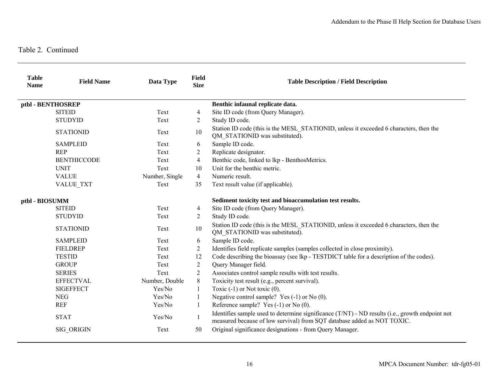| <b>Table</b><br><b>Name</b> | <b>Field Name</b>  | Data Type      | <b>Field</b><br><b>Size</b> | <b>Table Description / Field Description</b>                                                                                                                               |
|-----------------------------|--------------------|----------------|-----------------------------|----------------------------------------------------------------------------------------------------------------------------------------------------------------------------|
|                             | ptbl - BENTHOSREP  |                |                             | Benthic infaunal replicate data.                                                                                                                                           |
|                             | <b>SITEID</b>      | Text           | 4                           | Site ID code (from Query Manager).                                                                                                                                         |
|                             | <b>STUDYID</b>     | Text           | 2                           | Study ID code.                                                                                                                                                             |
|                             | <b>STATIONID</b>   | Text           | $10\,$                      | Station ID code (this is the MESL_STATIONID, unless it exceeded 6 characters, then the<br>QM_STATIONID was substituted).                                                   |
|                             | <b>SAMPLEID</b>    | Text           | 6                           | Sample ID code.                                                                                                                                                            |
|                             | <b>REP</b>         | Text           | 2                           | Replicate designator.                                                                                                                                                      |
|                             | <b>BENTHICCODE</b> | Text           | $\overline{4}$              | Benthic code, linked to lkp - BenthosMetrics.                                                                                                                              |
|                             | <b>UNIT</b>        | Text           | 10                          | Unit for the benthic metric.                                                                                                                                               |
|                             | <b>VALUE</b>       | Number, Single | $\overline{4}$              | Numeric result.                                                                                                                                                            |
|                             | <b>VALUE TXT</b>   | Text           | 35                          | Text result value (if applicable).                                                                                                                                         |
| ptbl - BIOSUMM              |                    |                |                             | Sediment toxicity test and bioaccumulation test results.                                                                                                                   |
|                             | <b>SITEID</b>      | Text           | 4                           | Site ID code (from Query Manager).                                                                                                                                         |
|                             | <b>STUDYID</b>     | Text           | 2                           | Study ID code.                                                                                                                                                             |
|                             | <b>STATIONID</b>   | Text           | 10                          | Station ID code (this is the MESL STATIONID, unless it exceeded 6 characters, then the<br>QM STATIONID was substituted).                                                   |
|                             | <b>SAMPLEID</b>    | Text           | 6                           | Sample ID code.                                                                                                                                                            |
|                             | <b>FIELDREP</b>    | Text           | $\overline{2}$              | Identifies field replicate samples (samples collected in close proximity).                                                                                                 |
|                             | <b>TESTID</b>      | Text           | 12                          | Code describing the bioassay (see lkp - TESTDICT table for a description of the codes).                                                                                    |
|                             | <b>GROUP</b>       | Text           | 2                           | Query Manager field.                                                                                                                                                       |
|                             | <b>SERIES</b>      | Text           | 2                           | Associates control sample results with test results.                                                                                                                       |
|                             | <b>EFFECTVAL</b>   | Number, Double | $\,8\,$                     | Toxicity test result (e.g., percent survival).                                                                                                                             |
|                             | <b>SIGEFFECT</b>   | Yes/No         | 1                           | Toxic $(-1)$ or Not toxic $(0)$ .                                                                                                                                          |
|                             | <b>NEG</b>         | Yes/No         |                             | Negative control sample? Yes $(-1)$ or No $(0)$ .                                                                                                                          |
|                             | <b>REF</b>         | Yes/No         | 1                           | Reference sample? Yes $(-1)$ or No $(0)$ .                                                                                                                                 |
|                             | <b>STAT</b>        | Yes/No         |                             | Identifies sample used to determine significance (T/NT) - ND results (i.e., growth endpoint not<br>measured because of low survival) from SQT database added as NOT TOXIC. |
|                             | SIG ORIGIN         | Text           | 50                          | Original significance designations - from Query Manager.                                                                                                                   |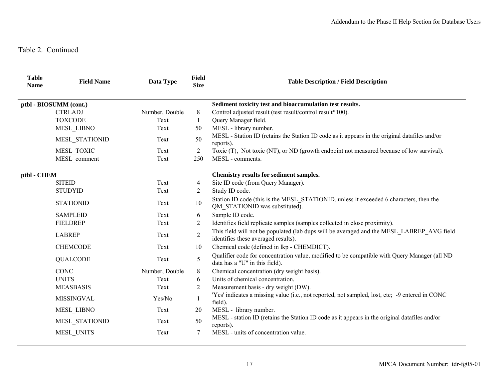| <b>Table</b><br><b>Name</b> | <b>Field Name</b>      | Data Type      | <b>Field</b><br><b>Size</b> | <b>Table Description / Field Description</b>                                                                                     |
|-----------------------------|------------------------|----------------|-----------------------------|----------------------------------------------------------------------------------------------------------------------------------|
|                             | ptbl - BIOSUMM (cont.) |                |                             | Sediment toxicity test and bioaccumulation test results.                                                                         |
|                             | <b>CTRLADJ</b>         | Number, Double | 8                           | Control adjusted result (test result/control result*100).                                                                        |
|                             | <b>TOXCODE</b>         | Text           | 1                           | Query Manager field.                                                                                                             |
|                             | MESL LIBNO             | Text           | 50                          | MESL - library number.                                                                                                           |
|                             | MESL STATIONID         | Text           | 50                          | MESL - Station ID (retains the Station ID code as it appears in the original datafiles and/or<br>reports).                       |
|                             | MESL TOXIC             | Text           | $\overline{2}$              | Toxic (T), Not toxic (NT), or ND (growth endpoint not measured because of low survival).                                         |
|                             | MESL_comment           | Text           | 250                         | MESL - comments.                                                                                                                 |
| ptbl - CHEM                 |                        |                |                             | Chemistry results for sediment samples.                                                                                          |
|                             | <b>SITEID</b>          | Text           | 4                           | Site ID code (from Query Manager).                                                                                               |
|                             | <b>STUDYID</b>         | Text           | $\overline{2}$              | Study ID code.                                                                                                                   |
|                             | <b>STATIONID</b>       | Text           | 10                          | Station ID code (this is the MESL STATIONID, unless it exceeded 6 characters, then the<br>QM_STATIONID was substituted).         |
|                             | <b>SAMPLEID</b>        | Text           | 6                           | Sample ID code.                                                                                                                  |
|                             | <b>FIELDREP</b>        | Text           | 2                           | Identifies field replicate samples (samples collected in close proximity).                                                       |
|                             | <b>LABREP</b>          | Text           | $\overline{c}$              | This field will not be populated (lab dups will be averaged and the MESL LABREP AVG field<br>identifies these averaged results). |
|                             | <b>CHEMCODE</b>        | Text           | 10                          | Chemical code (defined in lkp - CHEMDICT).                                                                                       |
|                             | <b>QUALCODE</b>        | Text           | 5                           | Qualifier code for concentration value, modified to be compatible with Query Manager (all ND<br>data has a "U" in this field).   |
|                             | CONC                   | Number, Double | 8                           | Chemical concentration (dry weight basis).                                                                                       |
|                             | <b>UNITS</b>           | Text           | 6                           | Units of chemical concentration.                                                                                                 |
|                             | <b>MEASBASIS</b>       | Text           | $\overline{2}$              | Measurement basis - dry weight (DW).                                                                                             |
|                             | <b>MISSINGVAL</b>      | Yes/No         | 1                           | 'Yes' indicates a missing value (i.e., not reported, not sampled, lost, etc; -9 entered in CONC<br>field).                       |
|                             | <b>MESL LIBNO</b>      | Text           | 20                          | MESL - library number.                                                                                                           |
|                             | MESL STATIONID         | Text           | 50                          | MESL - station ID (retains the Station ID code as it appears in the original datafiles and/or<br>reports).                       |
|                             | MESL_UNITS             | Text           | 7                           | MESL - units of concentration value.                                                                                             |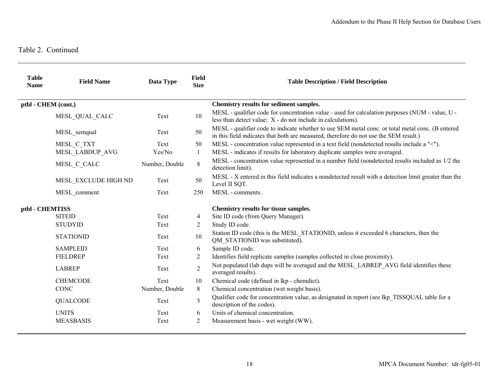| <b>Table</b><br><b>Name</b> | <b>Field Name</b>    | Data Type      | Field<br><b>Size</b> | <b>Table Description / Field Description</b>                                                                                                                                              |
|-----------------------------|----------------------|----------------|----------------------|-------------------------------------------------------------------------------------------------------------------------------------------------------------------------------------------|
| ptbl - CHEM (cont.)         |                      |                |                      | Chemistry results for sediment samples.                                                                                                                                                   |
|                             | MESL QUAL CALC       | Text           | 10                   | MESL - qualifier code for concentration value - used for calculation purposes (NUM - value, U -<br>less than detect value; $X$ - do not include in calculations).                         |
|                             | MESL semqual         | Text           | 50                   | MESL - qualifier code to indicate whether to use SEM metal conc. or total metal conc. (B entered<br>in this field indicates that both are measured, therefore do not use the SEM result.) |
|                             | MESL C TXT           | Text           | 50                   | MESL - concentration value represented in a text field (nondetected results include a "<").                                                                                               |
|                             | MESL_LABDUP_AVG      | Yes/No         | 1                    | MESL - indicates if results for laboratory duplicate samples were averaged.                                                                                                               |
|                             | MESL C CALC          | Number, Double | 8                    | MESL - concentration value represented in a number field (nondetected results included as 1/2 the<br>detection limit).                                                                    |
|                             | MESL EXCLUDE HIGH ND | Text           | 50                   | MESL - X entered in this field indicates a nondetected result with a detection limit greater than the<br>Level II SQT.                                                                    |
|                             | MESL comment         | Text           | 250                  | MESL - comments.                                                                                                                                                                          |
| ptbl - CHEMTISS             |                      |                |                      | Chemistry results for tissue samples.                                                                                                                                                     |
|                             | <b>SITEID</b>        | Text           | 4                    | Site ID code (from Query Manager).                                                                                                                                                        |
|                             | <b>STUDYID</b>       | Text           | 2                    | Study ID code.                                                                                                                                                                            |
|                             | <b>STATIONID</b>     | Text           | 10                   | Station ID code (this is the MESL STATIONID, unless it exceeded 6 characters, then the<br>QM STATIONID was substituted).                                                                  |
|                             | <b>SAMPLEID</b>      | Text           | 6                    | Sample ID code.                                                                                                                                                                           |
|                             | <b>FIELDREP</b>      | Text           | 2                    | Identifies field replicate samples (samples collected in close proximity).                                                                                                                |
|                             | <b>LABREP</b>        | Text           | $\overline{2}$       | Not populated (lab dups will be averaged and the MESL LABREP AVG field identifies these<br>averaged results).                                                                             |
|                             | <b>CHEMCODE</b>      | Text           | 10                   | Chemical code (defined in lkp - chemdict).                                                                                                                                                |
|                             | <b>CONC</b>          | Number, Double | 8                    | Chemical concentration (wet weight basis).                                                                                                                                                |
|                             | <b>QUALCODE</b>      | Text           | 5                    | Qualifier code for concentration value, as designated in report (see lkp TISSQUAL table for a<br>description of the codes).                                                               |
|                             | <b>UNITS</b>         | Text           | 6                    | Units of chemical concentration.                                                                                                                                                          |
|                             | <b>MEASBASIS</b>     | Text           | $\overline{2}$       | Measurement basis - wet weight (WW).                                                                                                                                                      |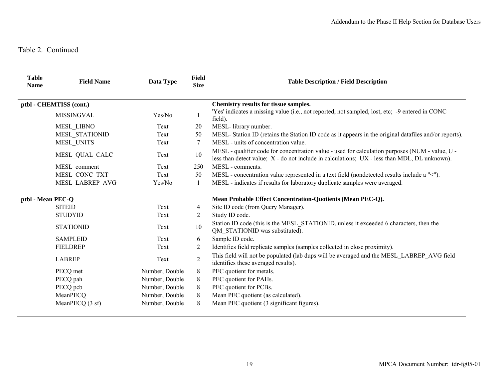| <b>Table</b><br><b>Name</b> | <b>Field Name</b>       | Data Type      | <b>Field</b><br><b>Size</b>                                | <b>Table Description / Field Description</b>                                                                                                                                                    |
|-----------------------------|-------------------------|----------------|------------------------------------------------------------|-------------------------------------------------------------------------------------------------------------------------------------------------------------------------------------------------|
|                             | ptbl - CHEMTISS (cont.) |                |                                                            | Chemistry results for tissue samples.                                                                                                                                                           |
|                             | MISSINGVAL              | Yes/No         |                                                            | 'Yes' indicates a missing value (i.e., not reported, not sampled, lost, etc; -9 entered in CONC<br>field).                                                                                      |
|                             | <b>MESL LIBNO</b>       | Text           | 20                                                         | MESL-library number.                                                                                                                                                                            |
|                             | MESL_STATIONID          | Text           | 50                                                         | MESL- Station ID (retains the Station ID code as it appears in the original datafiles and/or reports).                                                                                          |
|                             | MESL UNITS              | Text           | 7                                                          | MESL - units of concentration value.                                                                                                                                                            |
|                             | MESL QUAL CALC          | Text           | $10\,$                                                     | MESL - qualifier code for concentration value - used for calculation purposes (NUM - value, U -<br>less than detect value; X - do not include in calculations; UX - less than MDL, DL unknown). |
|                             | MESL comment            | Text           | 250                                                        | MESL - comments.                                                                                                                                                                                |
|                             | MESL_CONC_TXT           | Text           | 50                                                         | MESL - concentration value represented in a text field (nondetected results include a "<").                                                                                                     |
|                             | MESL LABREP AVG         | Yes/No         | 1                                                          | MESL - indicates if results for laboratory duplicate samples were averaged.                                                                                                                     |
| ptbl - Mean PEC-Q           |                         |                | Mean Probable Effect Concentration-Quotients (Mean PEC-Q). |                                                                                                                                                                                                 |
|                             | <b>SITEID</b>           | Text           | 4                                                          | Site ID code (from Query Manager).                                                                                                                                                              |
|                             | <b>STUDYID</b>          | Text           | 2                                                          | Study ID code.                                                                                                                                                                                  |
|                             | <b>STATIONID</b>        | Text           | $10\,$                                                     | Station ID code (this is the MESL STATIONID, unless it exceeded 6 characters, then the<br>QM STATIONID was substituted).                                                                        |
|                             | <b>SAMPLEID</b>         | Text           | 6                                                          | Sample ID code.                                                                                                                                                                                 |
|                             | <b>FIELDREP</b>         | Text           | 2                                                          | Identifies field replicate samples (samples collected in close proximity).                                                                                                                      |
|                             | <b>LABREP</b>           | Text           | $\sqrt{2}$                                                 | This field will not be populated (lab dups will be averaged and the MESL LABREP AVG field<br>identifies these averaged results).                                                                |
|                             | PECQ met                | Number, Double | 8                                                          | PEC quotient for metals.                                                                                                                                                                        |
|                             | PECQ pah                | Number, Double | 8                                                          | PEC quotient for PAHs.                                                                                                                                                                          |
|                             | PECQ pcb                | Number, Double | 8                                                          | PEC quotient for PCBs.                                                                                                                                                                          |
|                             | MeanPECQ                | Number, Double | 8                                                          | Mean PEC quotient (as calculated).                                                                                                                                                              |
|                             | MeanPECQ (3 sf)         | Number, Double | 8                                                          | Mean PEC quotient (3 significant figures).                                                                                                                                                      |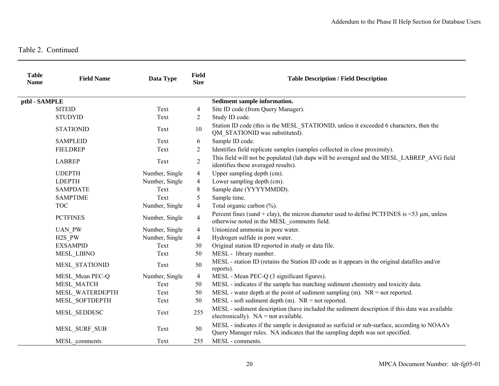| <b>Table</b><br><b>Name</b> | <b>Field Name</b>   | Data Type      | <b>Field</b><br><b>Size</b> | <b>Table Description / Field Description</b>                                                                                                                                  |
|-----------------------------|---------------------|----------------|-----------------------------|-------------------------------------------------------------------------------------------------------------------------------------------------------------------------------|
| ptbl - SAMPLE               |                     |                |                             | Sediment sample information.                                                                                                                                                  |
|                             | <b>SITEID</b>       | Text           | $\overline{4}$              | Site ID code (from Query Manager).                                                                                                                                            |
|                             | <b>STUDYID</b>      | Text           | $\overline{2}$              | Study ID code.                                                                                                                                                                |
|                             | <b>STATIONID</b>    | Text           | 10                          | Station ID code (this is the MESL STATIONID, unless it exceeded 6 characters, then the<br>QM STATIONID was substituted).                                                      |
|                             | <b>SAMPLEID</b>     | Text           | 6                           | Sample ID code.                                                                                                                                                               |
|                             | FIELDREP            | Text           | 2                           | Identifies field replicate samples (samples collected in close proximity).                                                                                                    |
|                             | <b>LABREP</b>       | Text           | $\sqrt{2}$                  | This field will not be populated (lab dups will be averaged and the MESL LABREP AVG field<br>identifies these averaged results).                                              |
|                             | <b>UDEPTH</b>       | Number, Single | $\overline{4}$              | Upper sampling depth (cm).                                                                                                                                                    |
|                             | <b>LDEPTH</b>       | Number, Single | $\overline{4}$              | Lower sampling depth (cm).                                                                                                                                                    |
|                             | <b>SAMPDATE</b>     | Text           | 8                           | Sample date (YYYYMMDD).                                                                                                                                                       |
|                             | <b>SAMPTIME</b>     | Text           | 5                           | Sample time.                                                                                                                                                                  |
|                             | <b>TOC</b>          | Number, Single | $\overline{4}$              | Total organic carbon (%).                                                                                                                                                     |
|                             | <b>PCTFINES</b>     | Number, Single | $\overline{4}$              | Percent fines (sand + clay), the micron diameter used to define PCTFINES is $\leq$ 53 $\mu$ m, unless<br>otherwise noted in the MESL_comments field.                          |
|                             | <b>UAN PW</b>       | Number, Single | $\overline{4}$              | Unionized ammonia in pore water.                                                                                                                                              |
|                             | H <sub>2</sub> S PW | Number, Single | $\overline{4}$              | Hydrogen sulfide in pore water.                                                                                                                                               |
|                             | <b>EXSAMPID</b>     | Text           | 30                          | Original station ID reported in study or data file.                                                                                                                           |
|                             | MESL_LIBNO          | Text           | 50                          | MESL - library number.                                                                                                                                                        |
|                             | MESL STATIONID      | Text           | 50                          | MESL - station ID (retains the Station ID code as it appears in the original datafiles and/or<br>reports).                                                                    |
|                             | MESL Mean PEC-Q     | Number, Single | $\overline{4}$              | MESL - Mean PEC-Q (3 significant figures).                                                                                                                                    |
|                             | MESL MATCH          | Text           | 50                          | MESL - indicates if the sample has matching sediment chemistry and toxicity data.                                                                                             |
|                             | MESL WATERDEPTH     | Text           | 50                          | MESL - water depth at the point of sediment sampling $(m)$ . NR = not reported.                                                                                               |
|                             | MESL SOFTDEPTH      | Text           | 50                          | $MESL$ - soft sediment depth (m). $NR = not$ reported.                                                                                                                        |
|                             | MESL SEDDESC        | Text           | 255                         | MESL - sediment description (have included the sediment description if this data was available<br>electronically). $NA = not available$ .                                     |
|                             | MESL SURF SUB       | Text           | 50                          | MESL - indicates if the sample is designated as surficial or sub-surface, according to NOAA's<br>Query Manager rules. NA indicates that the sampling depth was not specified. |
|                             | MESL comments       | Text           | 255                         | MESL - comments.                                                                                                                                                              |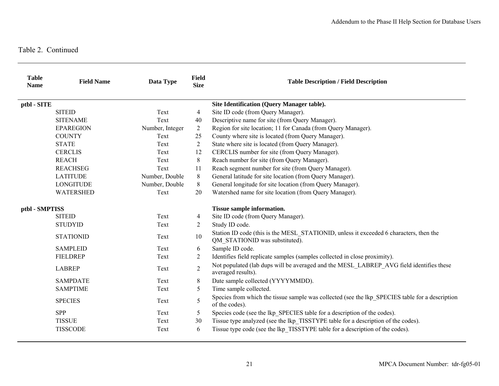| <b>Table</b><br><b>Name</b> | <b>Field Name</b> | Data Type       | <b>Field</b><br><b>Size</b> | <b>Table Description / Field Description</b>                                                                             |
|-----------------------------|-------------------|-----------------|-----------------------------|--------------------------------------------------------------------------------------------------------------------------|
| ptbl - SITE                 |                   |                 |                             | Site Identification (Query Manager table).                                                                               |
|                             | <b>SITEID</b>     | Text            | $\overline{4}$              | Site ID code (from Query Manager).                                                                                       |
|                             | <b>SITENAME</b>   | Text            | 40                          | Descriptive name for site (from Query Manager).                                                                          |
|                             | <b>EPAREGION</b>  | Number, Integer | $\overline{2}$              | Region for site location; 11 for Canada (from Query Manager).                                                            |
|                             | <b>COUNTY</b>     | Text            | 25                          | County where site is located (from Query Manager).                                                                       |
|                             | <b>STATE</b>      | Text            | 2                           | State where site is located (from Query Manager).                                                                        |
|                             | <b>CERCLIS</b>    | Text            | 12                          | CERCLIS number for site (from Query Manager).                                                                            |
|                             | <b>REACH</b>      | Text            | 8                           | Reach number for site (from Query Manager).                                                                              |
|                             | <b>REACHSEG</b>   | Text            | 11                          | Reach segment number for site (from Query Manager).                                                                      |
|                             | <b>LATITUDE</b>   | Number, Double  | 8                           | General latitude for site location (from Query Manager).                                                                 |
|                             | <b>LONGITUDE</b>  | Number, Double  | 8                           | General longitude for site location (from Query Manager).                                                                |
|                             | <b>WATERSHED</b>  | Text            | 20                          | Watershed name for site location (from Query Manager).                                                                   |
| ptbl - SMPTISS              |                   |                 | Tissue sample information.  |                                                                                                                          |
|                             | <b>SITEID</b>     | Text            | $\overline{4}$              | Site ID code (from Query Manager).                                                                                       |
|                             | <b>STUDYID</b>    | Text            | 2                           | Study ID code.                                                                                                           |
|                             | <b>STATIONID</b>  | Text            | 10                          | Station ID code (this is the MESL STATIONID, unless it exceeded 6 characters, then the<br>QM_STATIONID was substituted). |
|                             | <b>SAMPLEID</b>   | Text            | 6                           | Sample ID code.                                                                                                          |
|                             | <b>FIELDREP</b>   | Text            | 2                           | Identifies field replicate samples (samples collected in close proximity).                                               |
|                             | <b>LABREP</b>     | Text            | $\overline{2}$              | Not populated (lab dups will be averaged and the MESL_LABREP_AVG field identifies these<br>averaged results).            |
|                             | <b>SAMPDATE</b>   | Text            | 8                           | Date sample collected (YYYYMMDD).                                                                                        |
|                             | <b>SAMPTIME</b>   | Text            | 5                           | Time sample collected.                                                                                                   |
|                             | <b>SPECIES</b>    | Text            | 5                           | Species from which the tissue sample was collected (see the lkp_SPECIES table for a description<br>of the codes).        |
|                             | <b>SPP</b>        | Text            | 5                           | Species code (see the lkp SPECIES table for a description of the codes).                                                 |
|                             | <b>TISSUE</b>     | Text            | 30                          | Tissue type analyzed (see the lkp TISSTYPE table for a description of the codes).                                        |
|                             | <b>TISSCODE</b>   | Text            | 6                           | Tissue type code (see the lkp TISSTYPE table for a description of the codes).                                            |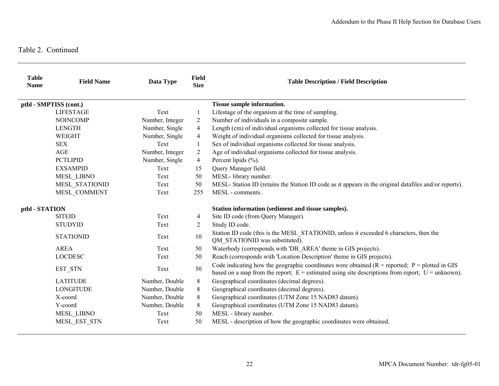| <b>Table</b><br><b>Name</b> | <b>Field Name</b>      | Data Type       | <b>Field</b><br><b>Size</b> | <b>Table Description / Field Description</b>                                                                                                                                                              |
|-----------------------------|------------------------|-----------------|-----------------------------|-----------------------------------------------------------------------------------------------------------------------------------------------------------------------------------------------------------|
|                             | ptbl - SMPTISS (cont.) |                 |                             | Tissue sample information.                                                                                                                                                                                |
|                             | <b>LIFESTAGE</b>       | Text            | 1                           | Lifestage of the organism at the time of sampling.                                                                                                                                                        |
|                             | <b>NOINCOMP</b>        | Number, Integer | 2                           | Number of individuals in a composite sample.                                                                                                                                                              |
|                             | <b>LENGTH</b>          | Number, Single  | 4                           | Length (cm) of individual organisms collected for tissue analysis.                                                                                                                                        |
|                             | <b>WEIGHT</b>          | Number, Single  | $\overline{4}$              | Weight of individual organisms collected for tissue analysis.                                                                                                                                             |
|                             | <b>SEX</b>             | Text            | 1                           | Sex of individual organisms collected for tissue analysis.                                                                                                                                                |
|                             | <b>AGE</b>             | Number, Integer | $\overline{2}$              | Age of individual organisms collected for tissue analysis.                                                                                                                                                |
|                             | <b>PCTLIPID</b>        | Number, Single  | $\overline{4}$              | Percent lipids (%).                                                                                                                                                                                       |
|                             | <b>EXSAMPID</b>        | Text            | 15                          | Query Manager field.                                                                                                                                                                                      |
|                             | <b>MESL LIBNO</b>      | Text            | 50                          | MESL-library number.                                                                                                                                                                                      |
|                             | MESL STATIONID         | Text            | 50                          | MESL- Station ID (retains the Station ID code as it appears in the original datafiles and/or reports).                                                                                                    |
|                             | MESL COMMENT           | Text            | 255                         | MESL - comments.                                                                                                                                                                                          |
| ptbl - STATION              |                        |                 |                             | Station information (sediment and tissue samples).                                                                                                                                                        |
|                             | <b>SITEID</b>          | Text            | 4                           | Site ID code (from Query Manager).                                                                                                                                                                        |
|                             | <b>STUDYID</b>         | Text            | $\overline{2}$              | Study ID code.                                                                                                                                                                                            |
|                             | <b>STATIONID</b>       | Text            | 10                          | Station ID code (this is the MESL STATIONID, unless it exceeded 6 characters, then the<br>QM STATIONID was substituted).                                                                                  |
|                             | <b>AREA</b>            | Text            | 50                          | Waterbody (corresponds with 'DB AREA' theme in GIS projects).                                                                                                                                             |
|                             | <b>LOCDESC</b>         | Text            | 50                          | Reach (corresponds with 'Location Description' theme in GIS projects).                                                                                                                                    |
|                             | EST STN                | Text            | 50                          | Code indicating how the geographic coordinates were obtained $(R = reported; P = plotted in GIS)$<br>based on a map from the report; $E =$ estimated using site descriptions from report; $U =$ unknown). |
|                             | <b>LATITUDE</b>        | Number, Double  | 8                           | Geographical coordinates (decimal degrees).                                                                                                                                                               |
|                             | <b>LONGITUDE</b>       | Number, Double  | 8                           | Geographical coordinates (decimal degrees).                                                                                                                                                               |
|                             | X-coord                | Number, Double  | 8                           | Geographical coordinates (UTM Zone 15 NAD83 datum).                                                                                                                                                       |
|                             | Y-coord                | Number, Double  | 8                           | Geographical coordinates (UTM Zone 15 NAD83 datum).                                                                                                                                                       |
|                             | <b>MESL LIBNO</b>      | Text            | 50                          | MESL - library number.                                                                                                                                                                                    |
|                             | MESL_EST_STN           | Text            | 50                          | MESL - description of how the geographic coordinates were obtained.                                                                                                                                       |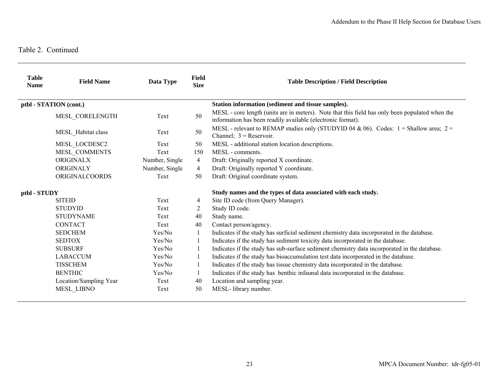| <b>Table</b><br><b>Name</b> | <b>Field Name</b>      | Data Type      | Field<br><b>Size</b> | <b>Table Description / Field Description</b>                                                                                                                   |
|-----------------------------|------------------------|----------------|----------------------|----------------------------------------------------------------------------------------------------------------------------------------------------------------|
|                             | ptbl - STATION (cont.) |                |                      | Station information (sediment and tissue samples).                                                                                                             |
|                             | MESL CORELENGTH        | Text           | 50                   | MESL - core length (units are in meters). Note that this field has only been populated when the<br>information has been readily available (electronic format). |
|                             | MESL_Habitat class     | Text           | 50                   | MESL - relevant to REMAP studies only (STUDYID 04 & 06). Codes: $1 =$ Shallow area; $2 =$<br>Channel; $3 =$ Reservoir.                                         |
|                             | MESL LOCDESC2          | Text           | 50                   | MESL - additional station location descriptions.                                                                                                               |
|                             | MESL_COMMENTS          | Text           | 150                  | MESL - comments.                                                                                                                                               |
|                             | ORIGINALX              | Number, Single | $\overline{4}$       | Draft: Originally reported X coordinate.                                                                                                                       |
|                             | ORIGINALY              | Number, Single | $\overline{4}$       | Draft: Originally reported Y coordinate.                                                                                                                       |
|                             | <b>ORIGINALCOORDS</b>  | Text           | 50                   | Draft: Original coordinate system.                                                                                                                             |
| ptbl - STUDY                |                        |                |                      | Study names and the types of data associated with each study.                                                                                                  |
|                             | <b>SITEID</b>          | Text           | 4                    | Site ID code (from Query Manager).                                                                                                                             |
|                             | <b>STUDYID</b>         | Text           | 2                    | Study ID code.                                                                                                                                                 |
|                             | <b>STUDYNAME</b>       | Text           | 40                   | Study name.                                                                                                                                                    |
|                             | <b>CONTACT</b>         | Text           | 40                   | Contact person/agency.                                                                                                                                         |
|                             | <b>SEDCHEM</b>         | Yes/No         | 1                    | Indicates if the study has surficial sediment chemistry data incorporated in the database.                                                                     |
|                             | <b>SEDTOX</b>          | Yes/No         |                      | Indicates if the study has sediment toxicity data incorporated in the database.                                                                                |
|                             | <b>SUBSURF</b>         | Yes/No         | 1                    | Indicates if the study has sub-surface sediment chemistry data incorporated in the database.                                                                   |
|                             | <b>LABACCUM</b>        | Yes/No         |                      | Indicates if the study has bioaccumulation test data incorporated in the database.                                                                             |
|                             | <b>TISSCHEM</b>        | Yes/No         |                      | Indicates if the study has tissue chemistry data incorporated in the database.                                                                                 |
|                             | <b>BENTHIC</b>         | Yes/No         |                      | Indicates if the study has benthic infaunal data incorporated in the database.                                                                                 |
|                             | Location/Sampling Year | Text           | 40                   | Location and sampling year.                                                                                                                                    |
|                             | MESL_LIBNO             | Text           | 50                   | MESL- library number.                                                                                                                                          |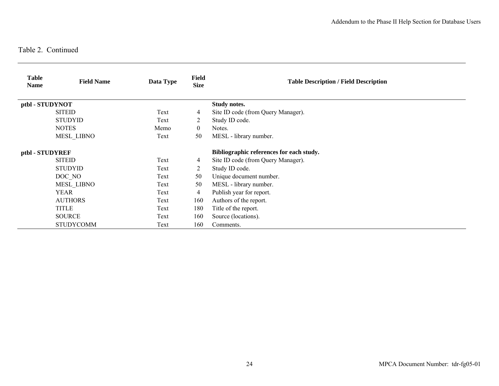| <b>Table</b><br><b>Name</b> | <b>Field Name</b> | Data Type | <b>Field</b><br><b>Size</b> | <b>Table Description / Field Description</b> |
|-----------------------------|-------------------|-----------|-----------------------------|----------------------------------------------|
| ptbl - STUDYNOT             |                   |           |                             | Study notes.                                 |
|                             | <b>SITEID</b>     | Text      | 4                           | Site ID code (from Query Manager).           |
|                             | <b>STUDYID</b>    | Text      | 2                           | Study ID code.                               |
|                             | <b>NOTES</b>      | Memo      | $\theta$                    | Notes.                                       |
|                             | <b>MESL LIBNO</b> | Text      | 50                          | MESL - library number.                       |
| ptbl - STUDYREF             |                   |           |                             | Bibliographic references for each study.     |
|                             | <b>SITEID</b>     | Text      | 4                           | Site ID code (from Query Manager).           |
|                             | <b>STUDYID</b>    | Text      | 2                           | Study ID code.                               |
|                             | DOC NO            | Text      | 50                          | Unique document number.                      |
|                             | <b>MESL LIBNO</b> | Text      | 50                          | MESL - library number.                       |
|                             | YEAR              | Text      | 4                           | Publish year for report.                     |
|                             | <b>AUTHORS</b>    | Text      | 160                         | Authors of the report.                       |
|                             | <b>TITLE</b>      | Text      | 180                         | Title of the report.                         |
|                             | <b>SOURCE</b>     | Text      | 160                         | Source (locations).                          |
|                             | <b>STUDYCOMM</b>  | Text      | 160                         | Comments.                                    |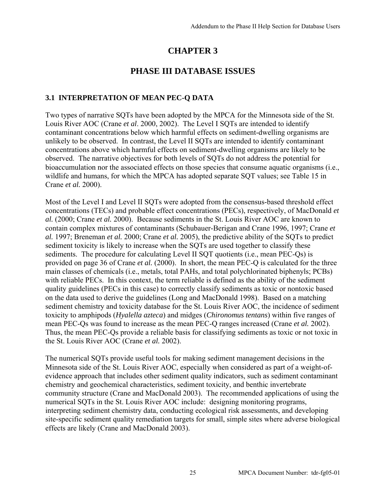## **CHAPTER 3**

### **PHASE III DATABASE ISSUES**

### **3.1 INTERPRETATION OF MEAN PEC-Q DATA**

Two types of narrative SQTs have been adopted by the MPCA for the Minnesota side of the St. Louis River AOC (Crane *et al*. 2000, 2002). The Level I SQTs are intended to identify contaminant concentrations below which harmful effects on sediment-dwelling organisms are unlikely to be observed. In contrast, the Level II SQTs are intended to identify contaminant concentrations above which harmful effects on sediment-dwelling organisms are likely to be observed. The narrative objectives for both levels of SQTs do not address the potential for bioaccumulation nor the associated effects on those species that consume aquatic organisms (i.e., wildlife and humans, for which the MPCA has adopted separate SQT values; see Table 15 in Crane *et al.* 2000).

Most of the Level I and Level II SQTs were adopted from the consensus-based threshold effect concentrations (TECs) and probable effect concentrations (PECs), respectively, of MacDonald *et al.* (2000; Crane *et al.* 2000). Because sediments in the St. Louis River AOC are known to contain complex mixtures of contaminants (Schubauer-Berigan and Crane 1996, 1997; Crane *et al.* 1997; Breneman *et al.* 2000; Crane *et al.* 2005), the predictive ability of the SQTs to predict sediment toxicity is likely to increase when the SQTs are used together to classify these sediments. The procedure for calculating Level II SQT quotients (i.e., mean PEC-Qs) is provided on page 36 of Crane *et al.* (2000). In short, the mean PEC-Q is calculated for the three main classes of chemicals (i.e., metals, total PAHs, and total polychlorinated biphenyls; PCBs) with reliable PECs. In this context, the term reliable is defined as the ability of the sediment quality guidelines (PECs in this case) to correctly classify sediments as toxic or nontoxic based on the data used to derive the guidelines (Long and MacDonald 1998). Based on a matching sediment chemistry and toxicity database for the St. Louis River AOC, the incidence of sediment toxicity to amphipods (*Hyalella azteca*) and midges (*Chironomus tentans*) within five ranges of mean PEC-Qs was found to increase as the mean PEC-Q ranges increased (Crane *et al.* 2002). Thus, the mean PEC-Qs provide a reliable basis for classifying sediments as toxic or not toxic in the St. Louis River AOC (Crane *et al.* 2002).

The numerical SQTs provide useful tools for making sediment management decisions in the Minnesota side of the St. Louis River AOC, especially when considered as part of a weight-ofevidence approach that includes other sediment quality indicators, such as sediment contaminant chemistry and geochemical characteristics, sediment toxicity, and benthic invertebrate community structure (Crane and MacDonald 2003). The recommended applications of using the numerical SQTs in the St. Louis River AOC include: designing monitoring programs, interpreting sediment chemistry data, conducting ecological risk assessments, and developing site-specific sediment quality remediation targets for small, simple sites where adverse biological effects are likely (Crane and MacDonald 2003).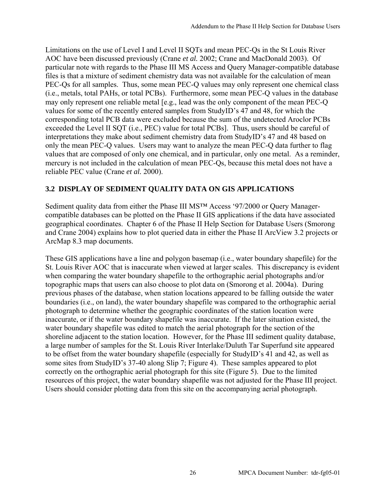Limitations on the use of Level I and Level II SQTs and mean PEC-Qs in the St Louis River AOC have been discussed previously (Crane *et al.* 2002; Crane and MacDonald 2003). Of particular note with regards to the Phase III MS Access and Query Manager-compatible database files is that a mixture of sediment chemistry data was not available for the calculation of mean PEC-Qs for all samples. Thus, some mean PEC-Q values may only represent one chemical class (i.e., metals, total PAHs, or total PCBs). Furthermore, some mean PEC-Q values in the database may only represent one reliable metal [e.g., lead was the only component of the mean PEC-Q values for some of the recently entered samples from StudyID's 47 and 48, for which the corresponding total PCB data were excluded because the sum of the undetected Aroclor PCBs exceeded the Level II SQT (i.e., PEC) value for total PCBs]. Thus, users should be careful of interpretations they make about sediment chemistry data from StudyID's 47 and 48 based on only the mean PEC-Q values. Users may want to analyze the mean PEC-Q data further to flag values that are composed of only one chemical, and in particular, only one metal. As a reminder, mercury is not included in the calculation of mean PEC-Qs, because this metal does not have a reliable PEC value (Crane *et al.* 2000).

### **3.2 DISPLAY OF SEDIMENT QUALITY DATA ON GIS APPLICATIONS**

Sediment quality data from either the Phase III MS<sup>™</sup> Access '97/2000 or Query Managercompatible databases can be plotted on the Phase II GIS applications if the data have associated geographical coordinates. Chapter 6 of the Phase II Help Section for Database Users (Smorong and Crane 2004) explains how to plot queried data in either the Phase II ArcView 3.2 projects or ArcMap 8.3 map documents.

These GIS applications have a line and polygon basemap (i.e., water boundary shapefile) for the St. Louis River AOC that is inaccurate when viewed at larger scales. This discrepancy is evident when comparing the water boundary shapefile to the orthographic aerial photographs and/or topographic maps that users can also choose to plot data on (Smorong et al. 2004a). During previous phases of the database, when station locations appeared to be falling outside the water boundaries (i.e., on land), the water boundary shapefile was compared to the orthographic aerial photograph to determine whether the geographic coordinates of the station location were inaccurate, or if the water boundary shapefile was inaccurate. If the later situation existed, the water boundary shapefile was edited to match the aerial photograph for the section of the shoreline adjacent to the station location. However, for the Phase III sediment quality database, a large number of samples for the St. Louis River Interlake/Duluth Tar Superfund site appeared to be offset from the water boundary shapefile (especially for StudyID's 41 and 42, as well as some sites from StudyID's 37-40 along Slip 7; Figure 4). These samples appeared to plot correctly on the orthographic aerial photograph for this site (Figure 5). Due to the limited resources of this project, the water boundary shapefile was not adjusted for the Phase III project. Users should consider plotting data from this site on the accompanying aerial photograph.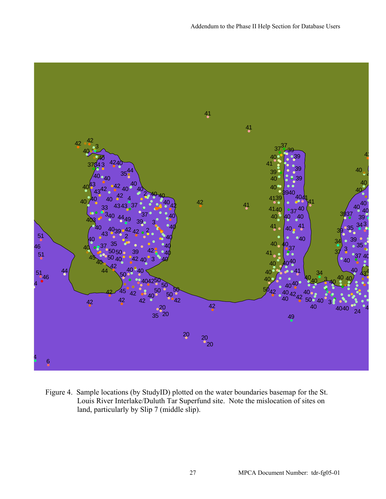

Figure 4. Sample locations (by StudyID) plotted on the water boundaries basemap for the St. Louis River Interlake/Duluth Tar Superfund site. Note the mislocation of sites on land, particularly by Slip 7 (middle slip).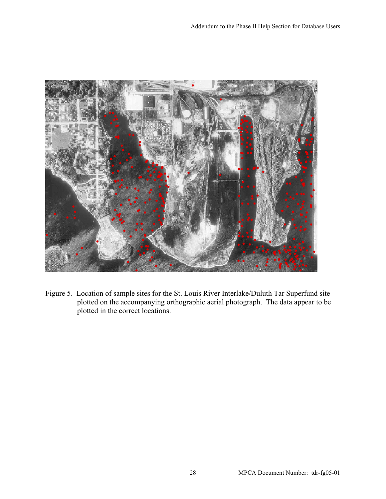

Figure 5. Location of sample sites for the St. Louis River Interlake/Duluth Tar Superfund site plotted on the accompanying orthographic aerial photograph. The data appear to be plotted in the correct locations.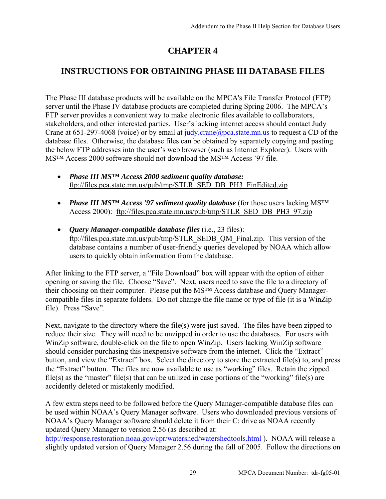## **CHAPTER 4**

## **INSTRUCTIONS FOR OBTAINING PHASE III DATABASE FILES**

The Phase III database products will be available on the MPCA's File Transfer Protocol (FTP) server until the Phase IV database products are completed during Spring 2006. The MPCA's FTP server provides a convenient way to make electronic files available to collaborators, stakeholders, and other interested parties. User's lacking internet access should contact Judy Crane at 651-297-4068 (voice) or by email at judy.[crane@pca.state.mn.us to](mailto:crane@pca.state.mn.us) request a CD of the database files. Otherwise, the database files can be obtained by separately copying and pasting the below FTP addresses into the user's web browser (such as Internet Explorer). Users with MS™ Access 2000 software should not download the MS™ Access '97 file.

- *Phase III MS™ Access 2000 sediment quality database:* [ftp://files.pca.state.mn.us/pub/tmp/STLR\\_SED\\_DB\\_PH3\\_FinEdited.zip](ftp://files.pca.state.mn.us/pub/tmp/STLR_SED_DB_PH3_FinEdited.zip)
- *Phase III MS™ Access '97 sediment quality database* (for those users lacking MS™ Access 2000): [ftp://files.pca.state.mn.us/pub/tmp/STLR\\_SED\\_DB\\_PH3\\_97.zip](ftp://files.pca.state.mn.us/pub/tmp/STLR_SED_DB_PH3_97.zip)
- *Query Manager-compatible database files* (i.e., 23 files): [ftp://files.pca.state.mn.us/pub/tmp/STLR\\_SEDB\\_QM\\_Final.zip.](ftp://files.pca.state.mn.us/pub/tmp/STLR_SEDB_QM_Final.zip) This version of the database contains a number of user-friendly queries developed by NOAA which allow users to quickly obtain information from the database.

After linking to the FTP server, a "File Download" box will appear with the option of either opening or saving the file. Choose "Save". Next, users need to save the file to a directory of their choosing on their computer. Please put the MS™ Access database and Query Managercompatible files in separate folders. Do not change the file name or type of file (it is a WinZip file). Press "Save".

Next, navigate to the directory where the file(s) were just saved. The files have been zipped to reduce their size. They will need to be unzipped in order to use the databases. For users with WinZip software, double-click on the file to open WinZip. Users lacking WinZip software should consider purchasing this inexpensive software from the internet. Click the "Extract" button, and view the "Extract" box. Select the directory to store the extracted file(s) to, and press the "Extract" button. The files are now available to use as "working" files. Retain the zipped file(s) as the "master" file(s) that can be utilized in case portions of the "working" file(s) are accidently deleted or mistakenly modified.

A few extra steps need to be followed before the Query Manager-compatible database files can be used within NOAA's Query Manager software. Users who downloaded previous versions of NOAA's Query Manager software should delete it from their C: drive as NOAA recently updated Query Manager to version 2.56 (as described at:

[http://response.restoration.noaa.gov/cpr/watershed/watershedtools.html \).](http://response.restoration.noaa.gov/cpr/watershed/watershedtools.html) NOAA will release a slightly updated version of Query Manager 2.56 during the fall of 2005. Follow the directions on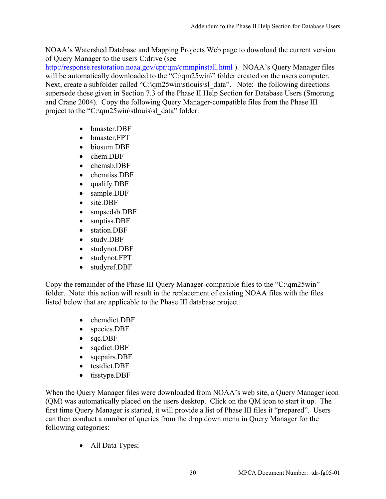NOAA's Watershed Database and Mapping Projects Web page to download the current version of Query Manager to the users C:drive (see

[http://response.restoration.noaa.gov/cpr/qm/qmmpinstall.html \).](http://response.restoration.noaa.gov/cpr/qm/qmmpinstall.html) NOAA's Query Manager files will be automatically downloaded to the "C:\qm25win\" folder created on the users computer. Next, create a subfolder called "C:\qm25win\stlouis\sl\_data". Note: the following directions supersede those given in Section 7.3 of the Phase II Help Section for Database Users (Smorong and Crane 2004). Copy the following Query Manager-compatible files from the Phase III project to the "C:\qm25win\stlouis\sl\_data" folder:

- bmaster.DBF
- bmaster.FPT
- biosum.DBF
- chem.DBF
- chemsb.DBF
- chemtiss DBF
- qualify.DBF
- sample.DBF
- site.DBF
- smpsedsb.DBF
- smptiss.DBF
- station.DBF
- study.DBF
- studynot.DBF
- studynot.FPT
- studyref.DBF

Copy the remainder of the Phase III Query Manager-compatible files to the "C:\qm25win" folder. Note: this action will result in the replacement of existing NOAA files with the files listed below that are applicable to the Phase III database project.

- chemdict.DBF
- species.DBF
- sqc.DBF
- sqcdict.DBF
- sqcpairs.DBF
- testdict.DBF
- tisstype.DBF

When the Query Manager files were downloaded from NOAA's web site, a Query Manager icon (QM) was automatically placed on the users desktop. Click on the QM icon to start it up. The first time Query Manager is started, it will provide a list of Phase III files it "prepared". Users can then conduct a number of queries from the drop down menu in Query Manager for the following categories:

• All Data Types;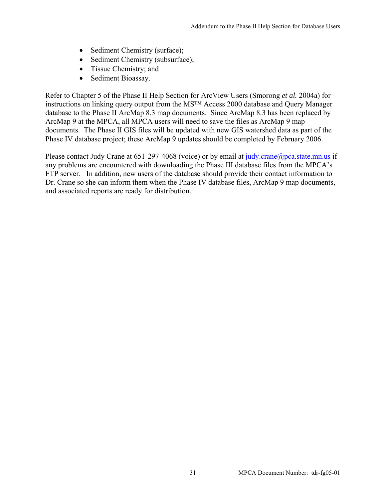- Sediment Chemistry (surface);
- Sediment Chemistry (subsurface);
- Tissue Chemistry; and
- Sediment Bioassay.

Refer to Chapter 5 of the Phase II Help Section for ArcView Users (Smorong *et al.* 2004a) for instructions on linking query output from the MS™ Access 2000 database and Query Manager database to the Phase II ArcMap 8.3 map documents. Since ArcMap 8.3 has been replaced by ArcMap 9 at the MPCA, all MPCA users will need to save the files as ArcMap 9 map documents. The Phase II GIS files will be updated with new GIS watershed data as part of the Phase IV database project; these ArcMap 9 updates should be completed by February 2006.

Please contact Judy Crane at  $651-297-4068$  (voice) or by email at judy.crane@pca.state.mn.us if any problems are encountered with downloading the Phase III database files from the MPCA's FTP server. In addition, new users of the database should provide their contact information to Dr. Crane so she can inform them when the Phase IV database files, ArcMap 9 map documents, and associated reports are ready for distribution.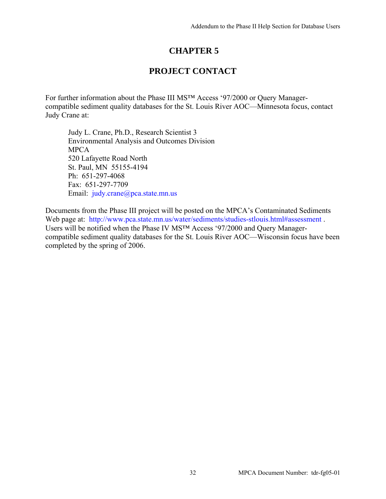## **CHAPTER 5**

## **PROJECT CONTACT**

For further information about the Phase III MS™ Access '97/2000 or Query Managercompatible sediment quality databases for the St. Louis River AOC—Minnesota focus, contact Judy Crane at:

Judy L. Crane, Ph.D., Research Scientist 3 Environmental Analysis and Outcomes Division MPCA 520 Lafayette Road North St. Paul, MN 55155-4194 Ph: 651-297-4068 Fax: 651-297-7709 Email: judy[.crane@pca.state.mn.us](mailto:crane@pca.state.mn.us)

Documents from the Phase III project will be posted on the MPCA's Contaminated Sediments Web page at: http://www.pca.state.mn.us/water/sediments/studies-stlouis.html#assessment . Users will be notified when the Phase IV MS™ Access '97/2000 and Query Managercompatible sediment quality databases for the St. Louis River AOC—Wisconsin focus have been completed by the spring of 2006.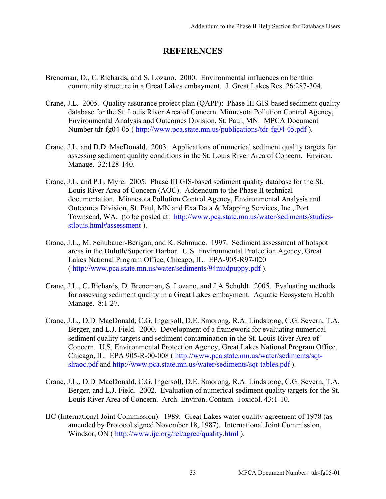### **REFERENCES**

- Breneman, D., C. Richards, and S. Lozano. 2000. Environmental influences on benthic community structure in a Great Lakes embayment. J. Great Lakes Res. 26:287-304.
- Crane, J.L. 2005. Quality assurance project plan (QAPP): Phase III GIS-based sediment quality database for the St. Louis River Area of Concern. Minnesota Pollution Control Agency, Environmental Analysis and Outcomes Division, St. Paul, MN. MPCA Document Number tdr-fg04-05 ( [http://www.pca.state.mn.us/publications/tdr-fg04-05.pdf \).](http://www.pca.state.mn.us/publications/tdr-fg04-05.pdf)
- Crane, J.L. and D.D. MacDonald. 2003. Applications of numerical sediment quality targets for assessing sediment quality conditions in the St. Louis River Area of Concern. Environ. Manage. 32:128-140.
- Crane, J.L. and P.L. Myre. 2005. Phase III GIS-based sediment quality database for the St. Louis River Area of Concern (AOC). Addendum to the Phase II technical documentation. Minnesota Pollution Control Agency, Environmental Analysis and Outcomes Division, St. Paul, MN and Exa Data & Mapping Services, Inc., Port [Townsend, WA. \(to be posted at: http://www.pca.state.mn.us/water/sediments/studies](http://www.pca.state.mn.us/water/sediments/studies-stlouis.MPCA)stlouis.html#assessment ).
- Crane, J.L., M. Schubauer-Berigan, and K. Schmude. 1997. Sediment assessment of hotspot areas in the Duluth/Superior Harbor. U.S. Environmental Protection Agency, Great Lakes National Program Office, Chicago, IL. EPA-905-R97-020 ( [http://www.pca.state.mn.us/water/sediments/94mudpuppy.pdf \)](http://www.pca.state.mn.us/water/sediments/94mudpuppy.pdf).
- Crane, J.L., C. Richards, D. Breneman, S. Lozano, and J.A Schuldt. 2005. Evaluating methods for assessing sediment quality in a Great Lakes embayment. Aquatic Ecosystem Health Manage. 8:1-27.
- Crane, J.L., D.D. MacDonald, C.G. Ingersoll, D.E. Smorong, R.A. Lindskoog, C.G. Severn, T.A. Berger, and L.J. Field. 2000. Development of a framework for evaluating numerical sediment quality targets and sediment contamination in the St. Louis River Area of Concern. U.S. Environmental Protection Agency, Great Lakes National Program Office, [Chicago, IL. EPA 905-R-00-008 \( h](http://www.pca.state.mn.us/water/sediments/sqt-slraoc.pdf)[ttp://www.pca.state.mn.us/water/sedime](http://www.pca.state.mn.us/water/sediments/94mudpuppy.pdf)[nts/sq](http://www.pca.state.mn.us/water/sediments/sqt-slraoc.pdf)tslraoc.[pdf and htt](http://www.pca.state.mn.us/water/sediments/94mudpuppy.pdf)[p://www.pca.state.mn.us/water/sediments/sqt-tables.pdf](http://www.pca.state.mn.us/water/sediments/sqt-tables.pdf)).
- Crane, J.L., D.D. MacDonald, C.G. Ingersoll, D.E. Smorong, R.A. Lindskoog, C.G. Severn, T.A. Berger, and L.J. Field. 2002. Evaluation of numerical sediment quality targets for the St. Louis River Area of Concern. Arch. Environ. Contam. Toxicol. 43:1-10.
- IJC (International Joint Commission). 1989. Great Lakes water quality agreement of 1978 (as amended by Protocol signed November 18, 1987). International Joint Commission, Windsor, ON ( <http://www.ijc.org/rel/agree/quality.html> ).